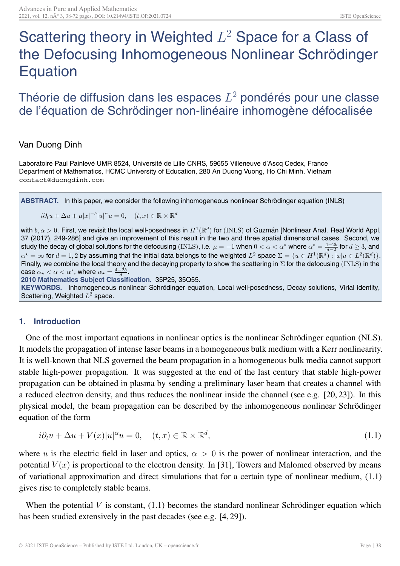# Scattering theory in Weighted  $L^2$  Space for a Class of the Defocusing Inhomogeneous Nonlinear Schrödinger Equation

# Théorie de diffusion dans les espaces  $L^2$  pondérés pour une classe de l'équation de Schrödinger non-linéaire inhomogène défocalisée

# Van Duong Dinh

Laboratoire Paul Painlevé UMR 8524, Université de Lille CNRS, 59655 Villeneuve d'Ascq Cedex, France Department of Mathematics, HCMC University of Education, 280 An Duong Vuong, Ho Chi Minh, Vietnam contact@duongdinh.com

**ABSTRACT.** In this paper, we consider the following inhomogeneous nonlinear Schrödinger equation (INLS)

 $i\partial_t u + \Delta u + \mu |x|^{-b} |u|^\alpha u = 0$ ,  $(t, x) \in \mathbb{R} \times \mathbb{R}^d$ 

with  $b, \alpha > 0$ . First, we revisit the local well-posedness in  $H^1(\mathbb{R}^d)$  for (INLS) of Guzmán [Nonlinear Anal. Real World Appl. 37 (2017), 249-286] and give an improvement of this result in the two and three spatial dimensional cases. Second, we study the decay of global solutions for the defocusing (INLS), i.e.  $\mu = -1$  when  $0 < \alpha < \alpha^*$  where  $\alpha^* = \frac{4-2b}{d-2}$  for  $d \ge 3$ , and  $\alpha^* = \infty$  for  $d = 1, 2$  by assuming that the initial data belongs to the weighted  $L^2$  space  $\Sigma = \{u \in H^1(\mathbb{R}^d) : |x|_u \in L^2(\mathbb{R}^d)\}.$ Finally, we combine the local theory and the decaying property to show the scattering in  $\Sigma$  for the defocusing (INLS) in the case  $\alpha_{\star} < \alpha < \alpha^{\star}$ , where  $\alpha_{\star} = \frac{4-2b}{d}$ .

**2010 Mathematics Subject Classification.** 35P25, 35Q55. **KEYWORDS.** Inhomogeneous nonlinear Schrödinger equation, Local well-posedness, Decay solutions, Virial identity, Scattering, Weighted  $L^2$  space.

# **1. Introduction**

One of the most important equations in nonlinear optics is the nonlinear Schrödinger equation (NLS). It models the propagation of intense laser beams in a homogeneous bulk medium with a Kerr nonlinearity. It is well-known that NLS governed the beam propagation in a homogeneous bulk media cannot support stable high-power propagation. It was suggested at the end of the last century that stable high-power propagation can be obtained in plasma by sending a preliminary laser beam that creates a channel with a reduced electron density, and thus reduces the nonlinear inside the channel (see e.g. [20, 23]). In this physical model, the beam propagation can be described by the inhomogeneous nonlinear Schrödinger equation of the form

$$
i\partial_t u + \Delta u + V(x)|u|^\alpha u = 0, \quad (t, x) \in \mathbb{R} \times \mathbb{R}^d,
$$
\n(1.1)

where u is the electric field in laser and optics,  $\alpha > 0$  is the power of nonlinear interaction, and the potential  $V(x)$  is proportional to the electron density. In [31], Towers and Malomed observed by means of variational approximation and direct simulations that for a certain type of nonlinear medium, (1.1) gives rise to completely stable beams.

When the potential  $V$  is constant,  $(1.1)$  becomes the standard nonlinear Schrödinger equation which has been studied extensively in the past decades (see e.g. [4, 29]).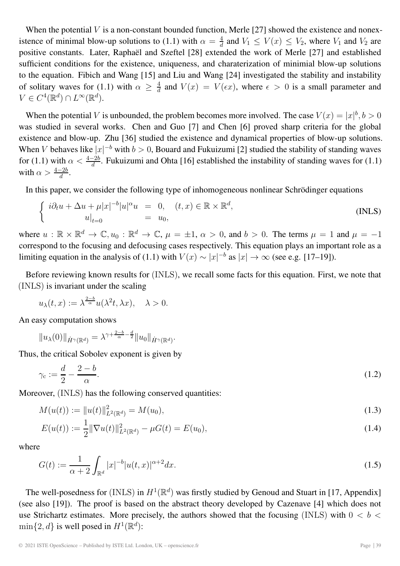When the potential  $V$  is a non-constant bounded function, Merle [27] showed the existence and nonexistence of minimal blow-up solutions to (1.1) with  $\alpha = \frac{4}{d}$  and  $V_1 \le V(x) \le V_2$ , where  $V_1$  and  $V_2$  are positive constants. Later, Raphaël and Szeftel [28] extended the work of Merle [27] and established sufficient conditions for the existence, uniqueness, and charaterization of minimial blow-up solutions to the equation. Fibich and Wang [15] and Liu and Wang [24] investigated the stability and instability of solitary waves for (1.1) with  $\alpha \geq \frac{4}{d}$  and  $V(x) = V(\epsilon x)$ , where  $\epsilon > 0$  is a small parameter and  $V \in C^4(\mathbb{R}^d) \cap L^\infty(\mathbb{R}^d).$ 

When the potential V is unbounded, the problem becomes more involved. The case  $V(x) = |x|^b$ ,  $b > 0$ was studied in several works. Chen and Guo [7] and Chen [6] proved sharp criteria for the global existence and blow-up. Zhu [36] studied the existence and dynamical properties of blow-up solutions. When V behaves like  $|x|^{-b}$  with  $b > 0$ , Bouard and Fukuizumi [2] studied the stability of standing waves for (1.1) with  $\alpha < \frac{4-2b}{d}$ . Fukuizumi and Ohta [16] established the instability of standing waves for (1.1) with  $\alpha > \frac{4-2b}{d}$ .

In this paper, we consider the following type of inhomogeneous nonlinear Schrödinger equations

$$
\begin{cases}\ni\partial_t u + \Delta u + \mu |x|^{-b} |u|^\alpha u = 0, & (t, x) \in \mathbb{R} \times \mathbb{R}^d, \\
u|_{t=0} = u_0,\n\end{cases}
$$
\n(INLS)

where  $u : \mathbb{R} \times \mathbb{R}^d \to \mathbb{C}, u_0 : \mathbb{R}^d \to \mathbb{C}, \mu = \pm 1, \alpha > 0$ , and  $b > 0$ . The terms  $\mu = 1$  and  $\mu = -1$ correspond to the focusing and defocusing cases respectively. This equation plays an important role as a limiting equation in the analysis of (1.1) with  $V(x) \sim |x|^{-b}$  as  $|x| \to \infty$  (see e.g. [17–19]).

Before reviewing known results for (INLS), we recall some facts for this equation. First, we note that (INLS) is invariant under the scaling

$$
u_{\lambda}(t,x) := \lambda^{\frac{2-b}{\alpha}} u(\lambda^2 t, \lambda x), \quad \lambda > 0.
$$

An easy computation shows

$$
||u_{\lambda}(0)||_{\dot{H}^{\gamma}(\mathbb{R}^d)} = \lambda^{\gamma + \frac{2-b}{\alpha} - \frac{d}{2}} ||u_0||_{\dot{H}^{\gamma}(\mathbb{R}^d)}.
$$

Thus, the critical Sobolev exponent is given by

$$
\gamma_c := \frac{d}{2} - \frac{2 - b}{\alpha}.\tag{1.2}
$$

Moreover, *(INLS)* has the following conserved quantities:

$$
M(u(t)) := \|u(t)\|_{L^2(\mathbb{R}^d)}^2 = M(u_0),\tag{1.3}
$$

$$
E(u(t)) := \frac{1}{2} \|\nabla u(t)\|_{L^2(\mathbb{R}^d)}^2 - \mu G(t) = E(u_0),\tag{1.4}
$$

where

$$
G(t) := \frac{1}{\alpha + 2} \int_{\mathbb{R}^d} |x|^{-b} |u(t, x)|^{\alpha + 2} dx.
$$
 (1.5)

The well-posedness for (INLS) in  $H^1(\mathbb{R}^d)$  was firstly studied by Genoud and Stuart in [17, Appendix] (see also [19]). The proof is based on the abstract theory developed by Cazenave [4] which does not use Strichartz estimates. More precisely, the authors showed that the focusing (INLS) with  $0 < b <$  $\min\{2, d\}$  is well posed in  $H^1(\mathbb{R}^d)$ :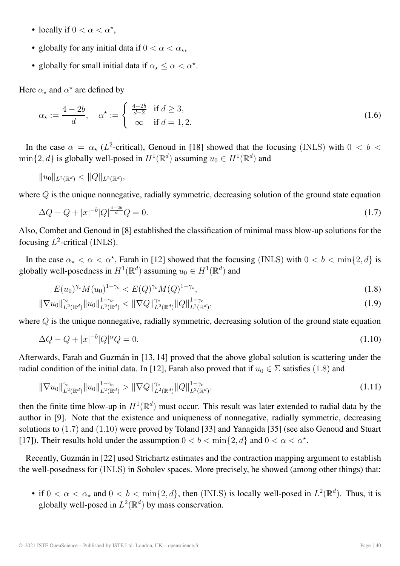- locally if  $0 < \alpha < \alpha^*$ ,
- globally for any initial data if  $0 < \alpha < \alpha_*$ ,
- globally for small initial data if  $\alpha_{\star} \leq \alpha < \alpha^{\star}$ .

Here  $\alpha_{\star}$  and  $\alpha^{\star}$  are defined by

$$
\alpha_{\star} := \frac{4 - 2b}{d}, \quad \alpha^{\star} := \begin{cases} \frac{4 - 2b}{d - 2} & \text{if } d \ge 3, \\ \infty & \text{if } d = 1, 2. \end{cases}
$$
 (1.6)

In the case  $\alpha = \alpha_{\star}$  (L<sup>2</sup>-critical), Genoud in [18] showed that the focusing (INLS) with  $0 < b <$  $\min\{2,d\}$  is globally well-posed in  $H^1(\mathbb{R}^d)$  assuming  $u_0 \in H^1(\mathbb{R}^d)$  and

$$
||u_0||_{L^2(\mathbb{R}^d)} < ||Q||_{L^2(\mathbb{R}^d)},
$$

where Q is the unique nonnegative, radially symmetric, decreasing solution of the ground state equation

$$
\Delta Q - Q + |x|^{-b} |Q|^{\frac{4-2b}{d}} Q = 0. \tag{1.7}
$$

Also, Combet and Genoud in [8] established the classification of minimal mass blow-up solutions for the focusing  $L^2$ -critical (INLS).

In the case  $\alpha_{\star} < \alpha < \alpha^{\star}$ , Farah in [12] showed that the focusing (INLS) with  $0 < b < \min\{2, d\}$  is globally well-posedness in  $H^1(\mathbb{R}^d)$  assuming  $u_0 \in H^1(\mathbb{R}^d)$  and

$$
E(u_0)^{\gamma_c} M(u_0)^{1-\gamma_c} < E(Q)^{\gamma_c} M(Q)^{1-\gamma_c},\tag{1.8}
$$

$$
\|\nabla u_0\|_{L^2(\mathbb{R}^d)}^{\gamma_c} \|u_0\|_{L^2(\mathbb{R}^d)}^{1-\gamma_c} < \|\nabla Q\|_{L^2(\mathbb{R}^d)}^{\gamma_c} \|Q\|_{L^2(\mathbb{R}^d)}^{1-\gamma_c},\tag{1.9}
$$

where Q is the unique nonnegative, radially symmetric, decreasing solution of the ground state equation

$$
\Delta Q - Q + |x|^{-b} |Q|^\alpha Q = 0. \tag{1.10}
$$

Afterwards, Farah and Guzmán in [13, 14] proved that the above global solution is scattering under the radial condition of the initial data. In [12], Farah also proved that if  $u_0 \in \Sigma$  satisfies (1.8) and

$$
\|\nabla u_0\|_{L^2(\mathbb{R}^d)}^{\gamma_c} \|u_0\|_{L^2(\mathbb{R}^d)}^{1-\gamma_c} > \|\nabla Q\|_{L^2(\mathbb{R}^d)}^{\gamma_c} \|Q\|_{L^2(\mathbb{R}^d)}^{1-\gamma_c},\tag{1.11}
$$

then the finite time blow-up in  $H^1(\mathbb{R}^d)$  must occur. This result was later extended to radial data by the author in [9]. Note that the existence and uniqueness of nonnegative, radially symmetric, decreasing solutions to (1.7) and (1.10) were proved by Toland [33] and Yanagida [35] (see also Genoud and Stuart [17]). Their results hold under the assumption  $0 < b < \min\{2, d\}$  and  $0 < \alpha < \alpha^*$ .

Recently, Guzmán in [22] used Strichartz estimates and the contraction mapping argument to establish the well-posedness for (INLS) in Sobolev spaces. More precisely, he showed (among other things) that:

• if  $0 < \alpha < \alpha_*$  and  $0 < b < \min\{2, d\}$ , then (INLS) is locally well-posed in  $L^2(\mathbb{R}^d)$ . Thus, it is globally well-posed in  $L^2(\mathbb{R}^d)$  by mass conservation.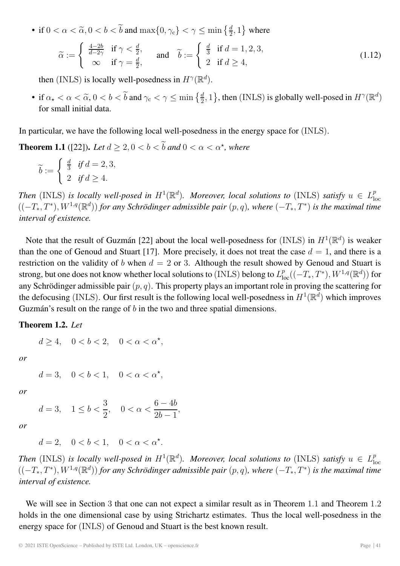• if  $0 < \alpha < \tilde{\alpha}, 0 < b < \tilde{b}$  and  $\max\{0, \gamma_c\} < \gamma \le \min\left\{\frac{d}{2}, 1\right\}$  where

$$
\widetilde{\alpha} := \begin{cases}\n\frac{4-2b}{d-2\gamma} & \text{if } \gamma < \frac{d}{2}, \\
\infty & \text{if } \gamma = \frac{d}{2},\n\end{cases}\n\quad \text{and} \quad \widetilde{b} := \begin{cases}\n\frac{d}{3} & \text{if } d = 1, 2, 3, \\
2 & \text{if } d \ge 4,\n\end{cases}
$$
\n(1.12)

then (INLS) is locally well-posedness in  $H^{\gamma}(\mathbb{R}^d)$ .

• if  $\alpha_{\star} < \alpha < \tilde{\alpha}$ ,  $0 < b < \tilde{b}$  and  $\gamma_c < \gamma \le \min\left\{\frac{d}{2}, 1\right\}$ , then (INLS) is globally well-posed in  $H^{\gamma}(\mathbb{R}^d)$ for small initial data.

In particular, we have the following local well-posedness in the energy space for (INLS).

**Theorem 1.1** ([22]). Let  $d \geq 2, 0 < b < \tilde{b}$  and  $0 < \alpha < \alpha^*$ , where

$$
\widetilde{b} := \begin{cases} \frac{d}{3} & \text{if } d = 2, 3, \\ 2 & \text{if } d \ge 4. \end{cases}
$$

Then (INLS) is locally well-posed in  $H^1(\mathbb{R}^d)$ . Moreover, local solutions to (INLS) satisfy  $u \in L^p_{loc}$ <br> $((-T_*,T^*), W^{1,q}(\mathbb{R}^d))$  for any Schrödinger admissible pair  $(p,q)$ , where  $(-T_*,T^*)$  is the maximal time *interval of existence.*

Note that the result of Guzmán [22] about the local well-posedness for (INLS) in  $H^1(\mathbb{R}^d)$  is weaker than the one of Genoud and Stuart [17]. More precisely, it does not treat the case  $d = 1$ , and there is a restriction on the validity of b when  $d = 2$  or 3. Although the result showed by Genoud and Stuart is strong, but one does not know whether local solutions to (INLS) belong to  $L_{\text{loc}}^p((-T_*,T^*),W^{1,q}(\mathbb{R}^d))$  for any Schrödinger admissible pair  $(p, q)$ . This property plays an important role in proving the scattering for the defocusing (INLS). Our first result is the following local well-posedness in  $H^1(\mathbb{R}^d)$  which improves Guzmán's result on the range of  $b$  in the two and three spatial dimensions.

#### **Theorem 1.2.** *Let*

 $d \geq 4$ ,  $0 < b < 2$ ,  $0 < \alpha < \alpha^*$ ,

*or*

 $d = 3, \quad 0 < b < 1, \quad 0 < \alpha < \alpha^*$ 

*or*

$$
d=3, \quad 1 \le b < \frac{3}{2}, \quad 0 < \alpha < \frac{6-4b}{2b-1},
$$

*or*

$$
d=2, \quad 0
$$

*Then* (INLS) *is locally well-posed in*  $H^1(\mathbb{R}^d)$ *. Moreover, local solutions to* (INLS) *satisfy*  $u \in L^p_{loc}$  $((-T_*,T^*), W^{1,q}(\mathbb{R}^d))$  *for any Schrödinger admissible pair*  $(p,q)$ *, where*  $(-T_*,T^*)$  *is the maximal time interval of existence.*

We will see in Section 3 that one can not expect a similar result as in Theorem 1.1 and Theorem 1.2 holds in the one dimensional case by using Strichartz estimates. Thus the local well-posedness in the energy space for (INLS) of Genoud and Stuart is the best known result.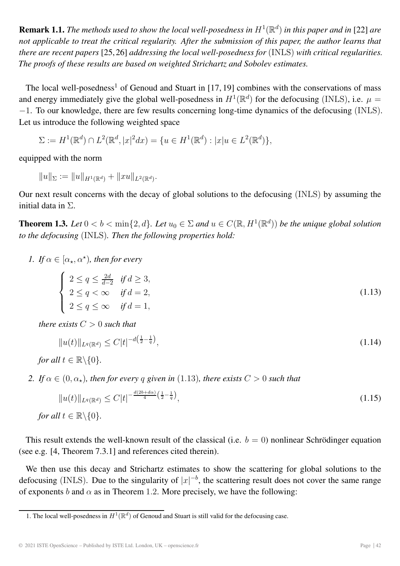**Remark 1.1.** *The methods used to show the local well-posedness in*  $H^1(\mathbb{R}^d)$  *in this paper and in* [22] *are not applicable to treat the critical regularity. After the submission of this paper, the author learns that there are recent papers* [25,26] *addressing the local well-posedness for* (INLS) *with critical regularities. The proofs of these results are based on weighted Strichartz and Sobolev estimates.*

The local well-posedness<sup>1</sup> of Genoud and Stuart in [17, 19] combines with the conservations of mass and energy immediately give the global well-posedness in  $H^1(\mathbb{R}^d)$  for the defocusing (INLS), i.e.  $\mu =$ −1. To our knowledge, there are few results concerning long-time dynamics of the defocusing (INLS). Let us introduce the following weighted space

 $\Sigma := H^1(\mathbb{R}^d) \cap L^2(\mathbb{R}^d, |x|^2 dx) = \{u \in H^1(\mathbb{R}^d) : |x|u \in L^2(\mathbb{R}^d)\},$ 

equipped with the norm

 $||u||_{\Sigma} := ||u||_{H^1(\mathbb{R}^d)} + ||xu||_{L^2(\mathbb{R}^d)}.$ 

Our next result concerns with the decay of global solutions to the defocusing (INLS) by assuming the initial data in Σ.

**Theorem 1.3.** Let  $0 < b < \min\{2, d\}$ . Let  $u_0 \in \Sigma$  and  $u \in C(\mathbb{R}, H^1(\mathbb{R}^d))$  be the unique global solution *to the defocusing* (INLS)*. Then the following properties hold:*

*1. If*  $\alpha \in [\alpha_{\star}, \alpha^{\star})$ *, then for every* 

$$
\begin{cases}\n2 \le q \le \frac{2d}{d-2} & \text{if } d \ge 3, \\
2 \le q < \infty \quad \text{if } d = 2, \\
2 \le q \le \infty & \text{if } d = 1,\n\end{cases} \tag{1.13}
$$

*there exists*  $C > 0$  *such that* 

$$
||u(t)||_{L^{q}(\mathbb{R}^{d})} \leq C|t|^{-d\left(\frac{1}{2} - \frac{1}{q}\right)},\tag{1.14}
$$

*for all*  $t \in \mathbb{R} \backslash \{0\}$ *.* 

*2. If*  $\alpha \in (0, \alpha_\star)$ *, then for every q given in* (1.13)*, there exists*  $C > 0$  *such that* 

$$
||u(t)||_{L^{q}(\mathbb{R}^{d})} \leq C|t|^{-\frac{d(2b+d\alpha)}{4}\left(\frac{1}{2}-\frac{1}{q}\right)},
$$
\nfor all  $t \in \mathbb{R} \setminus \{0\}.$ 

\n(1.15)

This result extends the well-known result of the classical (i.e.  $b = 0$ ) nonlinear Schrödinger equation (see e.g. [4, Theorem 7.3.1] and references cited therein).

We then use this decay and Strichartz estimates to show the scattering for global solutions to the defocusing (INLS). Due to the singularity of  $|x|^{-b}$ , the scattering result does not cover the same range of exponents b and  $\alpha$  as in Theorem 1.2. More precisely, we have the following:

<sup>1.</sup> The local well-posedness in  $H^1(\mathbb{R}^d)$  of Genoud and Stuart is still valid for the defocusing case.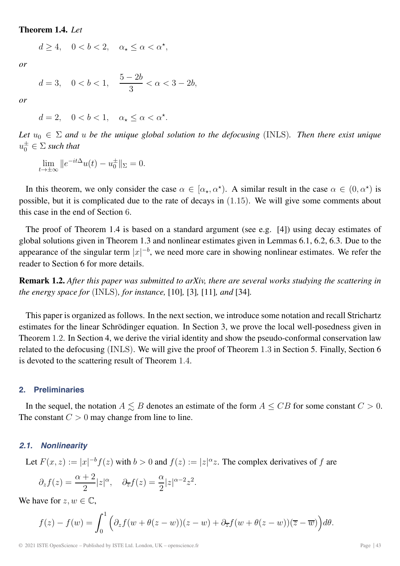#### **Theorem 1.4.** *Let*

$$
d \ge 4, \quad 0 < b < 2, \quad \alpha_{\star} \le \alpha < \alpha^{\star},
$$

*or*

$$
d=3, \quad 0
$$

*or*

$$
d = 2, \quad 0 < b < 1, \quad \alpha_{\star} \le \alpha < \alpha^{\star}.
$$

Let  $u_0 \in \Sigma$  and u be the unique global solution to the defocusing (INLS). Then there exist unique  $u_0^{\pm} \in \Sigma$  such that

$$
\lim_{t \to \pm \infty} ||e^{-it\Delta}u(t) - u_0^{\pm}||_{\Sigma} = 0.
$$

In this theorem, we only consider the case  $\alpha \in [\alpha_{\star}, \alpha^{\star})$ . A similar result in the case  $\alpha \in (0, \alpha^{\star})$  is possible, but it is complicated due to the rate of decays in (1.15). We will give some comments about this case in the end of Section 6.

The proof of Theorem 1.4 is based on a standard argument (see e.g. [4]) using decay estimates of global solutions given in Theorem 1.3 and nonlinear estimates given in Lemmas 6.1, 6.2, 6.3. Due to the appearance of the singular term  $|x|^{-b}$ , we need more care in showing nonlinear estimates. We refer the reader to Section 6 for more details.

**Remark 1.2.** *After this paper was submitted to arXiv, there are several works studying the scattering in the energy space for* (INLS)*, for instance,* [10]*,* [3]*,* [11]*, and* [34]*.*

This paper is organized as follows. In the next section, we introduce some notation and recall Strichartz estimates for the linear Schrödinger equation. In Section 3, we prove the local well-posedness given in Theorem 1.2. In Section 4, we derive the virial identity and show the pseudo-conformal conservation law related to the defocusing (INLS). We will give the proof of Theorem 1.3 in Section 5. Finally, Section 6 is devoted to the scattering result of Theorem 1.4.

#### **2. Preliminaries**

In the sequel, the notation  $A \lesssim B$  denotes an estimate of the form  $A \leq CB$  for some constant  $C > 0$ . The constant  $C > 0$  may change from line to line.

#### *2.1. Nonlinearity*

Let 
$$
F(x, z) := |x|^{-b} f(z)
$$
 with  $b > 0$  and  $f(z) := |z|^{\alpha} z$ . The complex derivatives of f are

$$
\partial_z f(z) = \frac{\alpha + 2}{2} |z|^{\alpha}, \quad \partial_{\overline{z}} f(z) = \frac{\alpha}{2} |z|^{\alpha - 2} z^2.
$$

We have for  $z, w \in \mathbb{C}$ ,

$$
f(z) - f(w) = \int_0^1 \left( \partial_z f(w + \theta(z - w))(z - w) + \partial_{\overline{z}} f(w + \theta(z - w))(\overline{z} - \overline{w}) \right) d\theta.
$$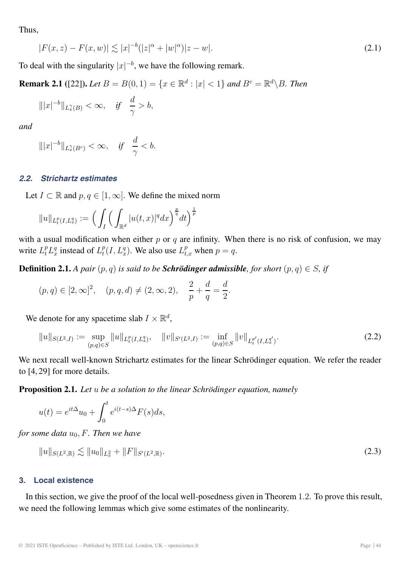Thus,

$$
|F(x,z) - F(x,w)| \lesssim |x|^{-b} (|z|^{\alpha} + |w|^{\alpha}) |z - w|.
$$
\n(2.1)

To deal with the singularity  $|x|^{-b}$ , we have the following remark.

**Remark 2.1** ([22]). *Let*  $B = B(0, 1) = \{x \in \mathbb{R}^d : |x| < 1\}$  *and*  $B^c = \mathbb{R}^d \setminus B$ . *Then* 

$$
\| |x|^{-b} \|_{L_x^{\gamma}(B)} < \infty, \quad \text{if} \quad \frac{d}{\gamma} > b,
$$

*and*

$$
\||x|^{-b}\|_{L^\gamma_x(B^c)} < \infty, \quad \text{if} \quad \frac{d}{\gamma} < b.
$$

#### *2.2. Strichartz estimates*

Let  $I \subset \mathbb{R}$  and  $p, q \in [1, \infty]$ . We define the mixed norm

$$
||u||_{L_t^p(I,L_x^q)} := \Big(\int_I \Big(\int_{\mathbb{R}^d} |u(t,x)|^q dx\Big)^{\frac{p}{q}} dt\Big)^{\frac{1}{p}}
$$

with a usual modification when either  $p$  or  $q$  are infinity. When there is no risk of confusion, we may write  $L_t^p L_x^q$  instead of  $L_t^p(I, L_x^q)$ . We also use  $L_{t,x}^p$  when  $p = q$ .

**Definition 2.1.** *A pair*  $(p, q)$  *is said to be Schrödinger admissible, for short*  $(p, q) \in S$ *, if* 

$$
(p,q) \in [2,\infty]^2
$$
,  $(p,q,d) \neq (2,\infty,2)$ ,  $\frac{2}{p} + \frac{d}{q} = \frac{d}{2}$ .

We denote for any spacetime slab  $I \times \mathbb{R}^d$ ,

$$
||u||_{S(L^2,I)} := \sup_{(p,q)\in S} ||u||_{L_t^p(I,L_x^q)}, \quad ||v||_{S'(L^2,I)} := \inf_{(p,q)\in S} ||v||_{L_t^{p'}(I,L_x^{q'})}.
$$
\n(2.2)

We next recall well-known Strichartz estimates for the linear Schrödinger equation. We refer the reader to [4, 29] for more details.

**Proposition 2.1.** *Let* u *be a solution to the linear Schrödinger equation, namely*

$$
u(t) = e^{it\Delta}u_0 + \int_0^t e^{i(t-s)\Delta} F(s) ds,
$$

*for some data*  $u_0$ , *F. Then we have* 

$$
||u||_{S(L^2,\mathbb{R})} \lesssim ||u_0||_{L^2_x} + ||F||_{S'(L^2,\mathbb{R})}.
$$
\n(2.3)

#### **3. Local existence**

In this section, we give the proof of the local well-posedness given in Theorem 1.2. To prove this result, we need the following lemmas which give some estimates of the nonlinearity.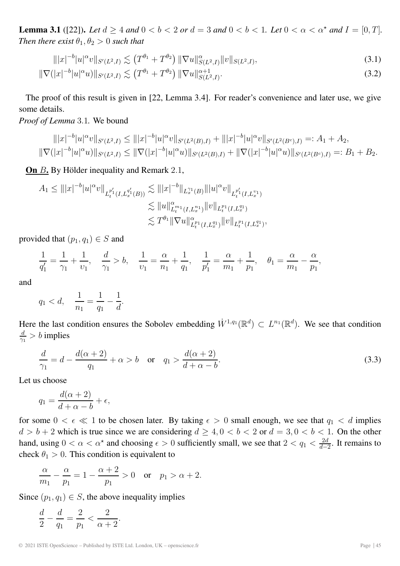**Lemma 3.1** ([22]). Let  $d \ge 4$  and  $0 < b < 2$  or  $d = 3$  and  $0 < b < 1$ . Let  $0 < \alpha < \alpha^*$  and  $I = [0, T]$ . *Then there exist*  $\theta_1, \theta_2 > 0$  *such that* 

$$
\| |x|^{-b} |u|^\alpha v \|_{S'(L^2, I)} \lesssim \left( T^{\theta_1} + T^{\theta_2} \right) \| \nabla u \|_{S(L^2, I)}^\alpha \| v \|_{S(L^2, I)}, \tag{3.1}
$$

$$
\|\nabla (|x|^{-b}|u|^\alpha u)\|_{S'(L^2,I)} \lesssim \left(T^{\theta_1} + T^{\theta_2}\right) \|\nabla u\|_{S(L^2,I)}^{\alpha+1}.
$$
\n(3.2)

The proof of this result is given in [22, Lemma 3.4]. For reader's convenience and later use, we give some details.

*Proof of Lemma* 3.1*.* We bound

$$
\| |x|^{-b} |u|^{\alpha} v \|_{S'(L^2, I)} \le \| |x|^{-b} |u|^{\alpha} v \|_{S'(L^2(B), I)} + \| |x|^{-b} |u|^{\alpha} v \|_{S'(L^2(B^c), I)} =: A_1 + A_2,
$$
  

$$
\| \nabla (|x|^{-b} |u|^{\alpha} u) \|_{S'(L^2, I)} \le \| \nabla (|x|^{-b} |u|^{\alpha} u) \|_{S'(L^2(B), I)} + \| \nabla (|x|^{-b} |u|^{\alpha} u) \|_{S'(L^2(B^c), I)} =: B_1 + B_2.
$$

**On** B. By Hölder inequality and Remark 2.1,

$$
A_1 \leq |||x|^{-b}|u|^\alpha v||_{L_t^{p_1'}(I,L_x^{q_1'}(B))} \lesssim |||x|^{-b}||_{L_x^{\gamma_1}(B)}|||u|^\alpha v||_{L_t^{p_1'}(I,L_x^{v_1})}
$$
  

$$
\lesssim ||u||_{L_t^{m_1}(I,L_x^{n_1})}^{\alpha} ||v||_{L_t^{p_1}(I,L_x^{q_1})}
$$
  

$$
\lesssim T^{\theta_1} ||\nabla u||_{L_t^{p_1}(I,L_x^{q_1})}^{\alpha} ||v||_{L_t^{p_1}(I,L_x^{q_1})},
$$

provided that  $(p_1, q_1) \in S$  and

$$
\frac{1}{q_1'} = \frac{1}{\gamma_1} + \frac{1}{\nu_1}, \quad \frac{d}{\gamma_1} > b, \quad \frac{1}{\nu_1} = \frac{\alpha}{n_1} + \frac{1}{q_1}, \quad \frac{1}{p_1'} = \frac{\alpha}{m_1} + \frac{1}{p_1}, \quad \theta_1 = \frac{\alpha}{m_1} - \frac{\alpha}{p_1},
$$

and

$$
q_1 < d, \quad \frac{1}{n_1} = \frac{1}{q_1} - \frac{1}{d}.
$$

Here the last condition ensures the Sobolev embedding  $\dot{W}^{1,q_1}(\mathbb{R}^d) \subset L^{n_1}(\mathbb{R}^d)$ . We see that condition  $\frac{d}{\gamma_1} > b$  implies

$$
\frac{d}{\gamma_1} = d - \frac{d(\alpha + 2)}{q_1} + \alpha > b \quad \text{or} \quad q_1 > \frac{d(\alpha + 2)}{d + \alpha - b}.
$$
 (3.3)

Let us choose

$$
q_1 = \frac{d(\alpha + 2)}{d + \alpha - b} + \epsilon,
$$

for some  $0 < \epsilon \ll 1$  to be chosen later. By taking  $\epsilon > 0$  small enough, we see that  $q_1 < d$  implies  $d > b + 2$  which is true since we are considering  $d \ge 4, 0 < b < 2$  or  $d = 3, 0 < b < 1$ . On the other hand, using  $0 < \alpha < \alpha^*$  and choosing  $\epsilon > 0$  sufficiently small, we see that  $2 < q_1 < \frac{2d}{d-2}$ . It remains to check  $\theta_1 > 0$ . This condition is equivalent to

$$
\frac{\alpha}{m_1} - \frac{\alpha}{p_1} = 1 - \frac{\alpha + 2}{p_1} > 0 \quad \text{or} \quad p_1 > \alpha + 2.
$$

Since  $(p_1, q_1) \in S$ , the above inequality implies

$$
\frac{d}{2} - \frac{d}{q_1} = \frac{2}{p_1} < \frac{2}{\alpha + 2}.
$$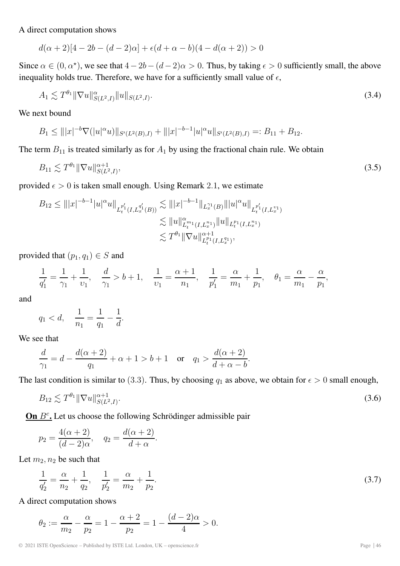A direct computation shows

$$
d(\alpha + 2)[4 - 2b - (d - 2)\alpha] + \epsilon(d + \alpha - b)(4 - d(\alpha + 2)) > 0
$$

Since  $\alpha \in (0, \alpha^*)$ , we see that  $4-2b-(d-2)\alpha > 0$ . Thus, by taking  $\epsilon > 0$  sufficiently small, the above inequality holds true. Therefore, we have for a sufficiently small value of  $\epsilon$ ,

$$
A_1 \lesssim T^{\theta_1} \|\nabla u\|_{S(L^2, I)}^{\alpha} \|u\|_{S(L^2, I)}.
$$
\n(3.4)

We next bound

$$
B_1 \le |||x|^{-b}\nabla (|u|^\alpha u)||_{S'(L^2(B),I)} + |||x|^{-b-1}|u|^\alpha u||_{S'(L^2(B),I)} =: B_{11} + B_{12}.
$$

The term  $B_{11}$  is treated similarly as for  $A_1$  by using the fractional chain rule. We obtain

$$
B_{11} \lesssim T^{\theta_1} \|\nabla u\|_{S(L^2, I)}^{\alpha+1},\tag{3.5}
$$

provided  $\epsilon > 0$  is taken small enough. Using Remark 2.1, we estimate

$$
B_{12} \leq |||x|^{-b-1}|u|^{\alpha}u||_{L_t^{p_1'}(I,L_x^{q_1'}(B))} \lesssim |||x|^{-b-1}||_{L_x^{p_1}(B)}|||u|^{\alpha}u||_{L_t^{p_1'}(I,L_x^{p_1})}
$$
  

$$
\lesssim ||u||_{L_t^{p_1}(I,L_x^{p_1})}^{\alpha}||u||_{L_t^{p_1}(I,L_x^{p_1})}
$$
  

$$
\lesssim T^{\theta_1}||\nabla u||_{L_t^{p_1}(I,L_x^{q_1})}^{\alpha+1},
$$

provided that  $(p_1, q_1) \in S$  and

$$
\frac{1}{q_1'} = \frac{1}{\gamma_1} + \frac{1}{\nu_1}, \quad \frac{d}{\gamma_1} > b + 1, \quad \frac{1}{\nu_1} = \frac{\alpha + 1}{n_1}, \quad \frac{1}{p_1'} = \frac{\alpha}{m_1} + \frac{1}{p_1}, \quad \theta_1 = \frac{\alpha}{m_1} - \frac{\alpha}{p_1},
$$

and

$$
q_1 < d
$$
,  $\frac{1}{n_1} = \frac{1}{q_1} - \frac{1}{d}$ .

We see that

$$
\frac{d}{\gamma_1} = d - \frac{d(\alpha + 2)}{q_1} + \alpha + 1 > b + 1 \quad \text{or} \quad q_1 > \frac{d(\alpha + 2)}{d + \alpha - b}.
$$

The last condition is similar to (3.3). Thus, by choosing  $q_1$  as above, we obtain for  $\epsilon > 0$  small enough,

$$
B_{12} \lesssim T^{\theta_1} \|\nabla u\|_{S(L^2, I)}^{\alpha+1}.
$$
\n(3.6)

**On**  $B<sup>c</sup>$ . Let us choose the following Schrödinger admissible pair

$$
p_2 = \frac{4(\alpha + 2)}{(d - 2)\alpha}
$$
,  $q_2 = \frac{d(\alpha + 2)}{d + \alpha}$ .

Let  $m_2, n_2$  be such that

$$
\frac{1}{q'_2} = \frac{\alpha}{n_2} + \frac{1}{q_2}, \quad \frac{1}{p'_2} = \frac{\alpha}{m_2} + \frac{1}{p_2}.
$$
\n(3.7)

A direct computation shows

$$
\theta_2 := \frac{\alpha}{m_2} - \frac{\alpha}{p_2} = 1 - \frac{\alpha + 2}{p_2} = 1 - \frac{(d - 2)\alpha}{4} > 0.
$$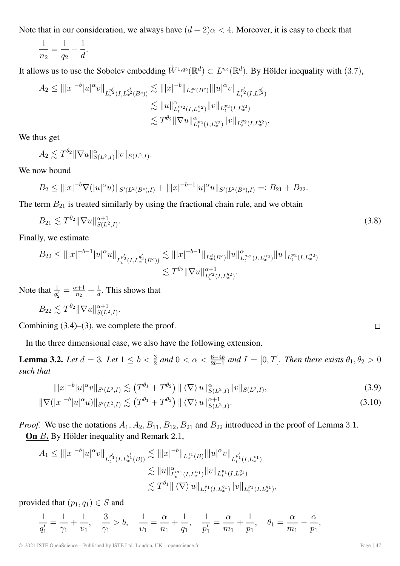Note that in our consideration, we always have  $(d - 2)\alpha < 4$ . Moreover, it is easy to check that

$$
\frac{1}{n_2} = \frac{1}{q_2} - \frac{1}{d}.
$$

It allows us to use the Sobolev embedding  $\dot{W}^{1,q_2}(\mathbb{R}^d) \subset L^{n_2}(\mathbb{R}^d)$ . By Hölder inequality with (3.7),

$$
A_2 \leq |||x|^{-b}|u|^\alpha v||_{L_t^{p_2'}(I,L_x^{q_2'}(B^c))} \lesssim |||x|^{-b}||_{L_x^{\infty}(B^c)}|||u|^\alpha v||_{L_t^{p_2'}(I,L_x^{q_2'})}
$$
  

$$
\lesssim ||u||_{L_t^{m_2}(I,L_x^{n_2})}^{\alpha} ||v||_{L_t^{p_2}(I,L_x^{q_2})}
$$
  

$$
\lesssim T^{\theta_2} ||\nabla u||_{L_t^{p_2}(I,L_x^{q_2})}^{\alpha} ||v||_{L_t^{p_2}(I,L_x^{q_2})}.
$$

We thus get

$$
A_2 \lesssim T^{\theta_2} \|\nabla u\|_{S(L^2, I)}^{\alpha} \|v\|_{S(L^2, I)}.
$$

We now bound

$$
B_2 \le |||x|^{-b}\nabla (|u|^\alpha u)||_{S'(L^2(B^c),I)} + |||x|^{-b-1}|u|^\alpha u||_{S'(L^2(B^c),I)} =: B_{21} + B_{22}.
$$

The term  $B_{21}$  is treated similarly by using the fractional chain rule, and we obtain

$$
B_{21} \lesssim T^{\theta_2} \|\nabla u\|_{S(L^2, I)}^{\alpha+1}.
$$
\n(3.8)

Finally, we estimate

$$
B_{22} \leq |||x|^{-b-1}|u|^{\alpha}u||_{L_t^{p_2'}(I,L_x^{q_2'}(B^c))} \lesssim |||x|^{-b-1}||_{L_x^d(B^c)}||u||_{L_t^{m_2}(I,L_x^{n_2})}^{\alpha}||u||_{L_t^{p_2}(I,L_x^{n_2})}
$$
  

$$
\lesssim T^{\theta_2}||\nabla u||_{L_t^{p_2}(I,L_x^{q_2})}^{\alpha+1}.
$$

Note that  $\frac{1}{q_2'} = \frac{\alpha+1}{n_2} + \frac{1}{d}$ . This shows that

$$
B_{22} \lesssim T^{\theta_2} \|\nabla u\|_{S(L^2, I)}^{\alpha+1}.
$$

Combining  $(3.4)$ – $(3)$ , we complete the proof.

In the three dimensional case, we also have the following extension.

**Lemma 3.2.** *Let*  $d = 3$ *. Let*  $1 \le b < \frac{3}{2}$  *and*  $0 < \alpha < \frac{6-4b}{2b-1}$  *and*  $I = [0, T]$ *. Then there exists*  $\theta_1, \theta_2 > 0$ *such that*

$$
\| |x|^{-b} |u|^\alpha v \|_{S'(L^2, I)} \lesssim (T^{\theta_1} + T^{\theta_2}) \| \langle \nabla \rangle \, u \|_{S(L^2, I)}^\alpha \| v \|_{S(L^2, I)}, \tag{3.9}
$$

$$
\|\nabla (|x|^{-b}|u|^\alpha u)\|_{S'(L^2,I)} \lesssim (T^{\theta_1} + T^{\theta_2}) \|\langle \nabla \rangle u\|_{S(L^2,I)}^{\alpha+1}.
$$
\n(3.10)

*Proof.* We use the notations  $A_1$ ,  $A_2$ ,  $B_{11}$ ,  $B_{12}$ ,  $B_{21}$  and  $B_{22}$  introduced in the proof of Lemma 3.1. **On** B**.** By Hölder inequality and Remark 2.1,

$$
A_1 \leq |||x|^{-b}|u|^{\alpha}v||_{L_t^{p_1'}(I,L_x^{q_1'}(B))} \lesssim |||x|^{-b}||_{L_x^{q_1}(B)}|||u|^{\alpha}v||_{L_t^{p_1'}(I,L_x^{p_1})}
$$
  

$$
\lesssim ||u||_{L_t^{p_1}(I,L_x^{p_1})}^{\alpha}||v||_{L_t^{p_1}(I,L_x^{q_1})}
$$
  

$$
\lesssim T^{\theta_1}||\langle \nabla \rangle u||_{L_t^{p_1}(I,L_x^{q_1})}||v||_{L_t^{p_1}(I,L_x^{q_1})},
$$

provided that  $(p_1, q_1) \in S$  and

$$
\frac{1}{q_1'} = \frac{1}{\gamma_1} + \frac{1}{\nu_1}, \quad \frac{3}{\gamma_1} > b, \quad \frac{1}{\nu_1} = \frac{\alpha}{n_1} + \frac{1}{q_1}, \quad \frac{1}{p_1'} = \frac{\alpha}{m_1} + \frac{1}{p_1}, \quad \theta_1 = \frac{\alpha}{m_1} - \frac{\alpha}{p_1},
$$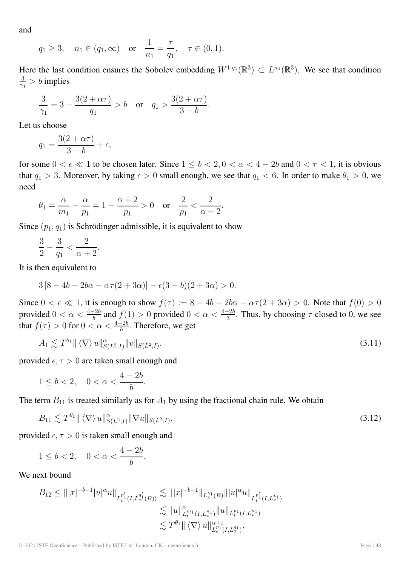and

$$
q_1 \ge 3
$$
,  $n_1 \in (q_1, \infty)$  or  $\frac{1}{n_1} = \frac{\tau}{q_1}$ ,  $\tau \in (0, 1)$ .

Here the last condition ensures the Sobolev embedding  $W^{1,q_1}(\mathbb{R}^3) \subset L^{n_1}(\mathbb{R}^3)$ . We see that condition  $\frac{3}{\gamma_1} > b$  implies

$$
\frac{3}{\gamma_1} = 3 - \frac{3(2 + \alpha \tau)}{q_1} > b \quad \text{or} \quad q_1 > \frac{3(2 + \alpha \tau)}{3 - b}.
$$

Let us choose

$$
q_1 = \frac{3(2+\alpha\tau)}{3-b} + \epsilon,
$$

for some  $0 < \epsilon \ll 1$  to be chosen later. Since  $1 \leq b < 2, 0 < \alpha < 4 - 2b$  and  $0 < \tau < 1$ , it is obvious that  $q_1 > 3$ . Moreover, by taking  $\epsilon > 0$  small enough, we see that  $q_1 < 6$ . In order to make  $\theta_1 > 0$ , we need

$$
\theta_1=\frac{\alpha}{m_1}-\frac{\alpha}{p_1}=1-\frac{\alpha+2}{p_1}>0\quad\text{or}\quad\frac{2}{p_1}<\frac{2}{\alpha+2}.
$$

Since  $(p_1, q_1)$  is Schrödinger admissible, it is equivalent to show

$$
\frac{3}{2}-\frac{3}{q_1}<\frac{2}{\alpha+2}.
$$

It is then equivalent to

$$
3 [8 - 4b - 2b\alpha - \alpha \tau (2 + 3\alpha)] - \epsilon (3 - b)(2 + 3\alpha) > 0.
$$

Since  $0 < \epsilon \ll 1$ , it is enough to show  $f(\tau) := 8 - 4b - 2b\alpha - \alpha\tau(2 + 3\alpha) > 0$ . Note that  $f(0) > 0$ provided  $0 < \alpha < \frac{4-2b}{b}$  and  $f(1) > 0$  provided  $0 < \alpha < \frac{4-2b}{3}$ . Thus, by choosing  $\tau$  closed to 0, we see that  $f(\tau) > 0$  for  $0 < \alpha < \frac{4-2b}{b}$ . Therefore, we get

$$
A_1 \lesssim T^{\theta_1} \| \langle \nabla \rangle u \|_{S(L^2, I)}^{\alpha} \| v \|_{S(L^2, I)}, \tag{3.11}
$$

provided  $\epsilon, \tau > 0$  are taken small enough and

$$
1\leq b<2,\quad 0<\alpha<\frac{4-2b}{b}.
$$

The term  $B_{11}$  is treated similarly as for  $A_1$  by using the fractional chain rule. We obtain

$$
B_{11} \lesssim T^{\theta_1} \| \langle \nabla \rangle u \|_{S(L^2, I)}^{\alpha} \| \nabla u \|_{S(L^2, I)}, \tag{3.12}
$$

provided  $\epsilon$ ,  $\tau > 0$  is taken small enough and

$$
1\leq b<2,\quad 0<\alpha<\frac{4-2b}{b}.
$$

We next bound

$$
B_{12} \leq |||x|^{-b-1}|u|^{\alpha}u||_{L_t^{p_1'}(I,L_x^{q_1'}(B))} \lesssim |||x|^{-b-1}||_{L_x^{q_1}(B)}|||u|^{\alpha}u||_{L_t^{p_1'}(I,L_x^{p_1})}
$$
  

$$
\lesssim ||u||_{L_t^{p_1}(I,L_x^{p_1})}^{\alpha}||u||_{L_t^{p_1}(I,L_x^{p_1})}
$$
  

$$
\lesssim T^{\theta_1}||\langle \nabla \rangle u||_{L_t^{p_1}(I,L_x^{q_1})}^{\alpha+1},
$$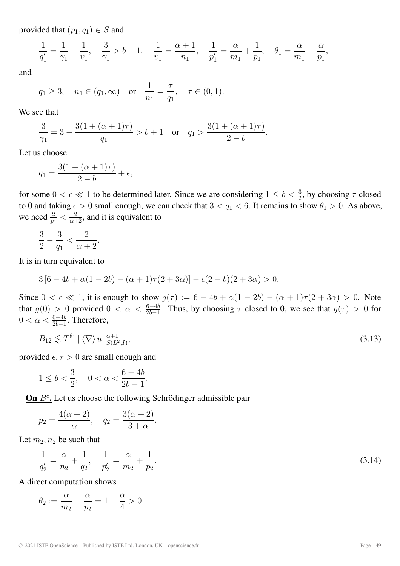provided that  $(p_1, q_1) \in S$  and

$$
\frac{1}{q_1'} = \frac{1}{\gamma_1} + \frac{1}{\nu_1}, \quad \frac{3}{\gamma_1} > b + 1, \quad \frac{1}{\nu_1} = \frac{\alpha + 1}{n_1}, \quad \frac{1}{p_1'} = \frac{\alpha}{m_1} + \frac{1}{p_1}, \quad \theta_1 = \frac{\alpha}{m_1} - \frac{\alpha}{p_1},
$$

and

$$
q_1 \ge 3
$$
,  $n_1 \in (q_1, \infty)$  or  $\frac{1}{n_1} = \frac{\tau}{q_1}$ ,  $\tau \in (0, 1)$ .

We see that

$$
\frac{3}{\gamma_1} = 3 - \frac{3(1 + (\alpha + 1)\tau)}{q_1} > b + 1 \quad \text{or} \quad q_1 > \frac{3(1 + (\alpha + 1)\tau)}{2 - b}.
$$

Let us choose

$$
q_1 = \frac{3(1 + (\alpha + 1)\tau)}{2 - b} + \epsilon,
$$

for some  $0 < \epsilon \ll 1$  to be determined later. Since we are considering  $1 \le b < \frac{3}{2}$ , by choosing  $\tau$  closed to 0 and taking  $\epsilon > 0$  small enough, we can check that  $3 < q_1 < 6$ . It remains to show  $\theta_1 > 0$ . As above, we need  $\frac{2}{p_1} < \frac{2}{\alpha+2}$ , and it is equivalent to

$$
\frac{3}{2}-\frac{3}{q_1}<\frac{2}{\alpha+2}.
$$

It is in turn equivalent to

$$
3[6-4b+\alpha(1-2b)-(\alpha+1)\tau(2+3\alpha)]-\epsilon(2-b)(2+3\alpha)>0.
$$

Since  $0 < \epsilon \ll 1$ , it is enough to show  $g(\tau) := 6 - 4b + \alpha(1 - 2b) - (\alpha + 1)\tau(2 + 3\alpha) > 0$ . Note that  $g(0) > 0$  provided  $0 < \alpha < \frac{6-4b}{2b-1}$ . Thus, by choosing  $\tau$  closed to 0, we see that  $g(\tau) > 0$  for  $0 < \alpha < \frac{6-4b}{2b-1}$ . Therefore,

$$
B_{12} \lesssim T^{\theta_1} \| \langle \nabla \rangle u \|_{S(L^2, I)}^{\alpha+1}, \tag{3.13}
$$

provided  $\epsilon$ ,  $\tau > 0$  are small enough and

$$
1 \le b < \frac{3}{2}, \quad 0 < \alpha < \frac{6 - 4b}{2b - 1}.
$$

**On**  $B^c$ . Let us choose the following Schrödinger admissible pair

$$
p_2 = \frac{4(\alpha + 2)}{\alpha}, \quad q_2 = \frac{3(\alpha + 2)}{3 + \alpha}.
$$

Let  $m_2, n_2$  be such that

$$
\frac{1}{q'_2} = \frac{\alpha}{n_2} + \frac{1}{q_2}, \quad \frac{1}{p'_2} = \frac{\alpha}{m_2} + \frac{1}{p_2}.
$$
\n(3.14)

A direct computation shows

$$
\theta_2 := \frac{\alpha}{m_2} - \frac{\alpha}{p_2} = 1 - \frac{\alpha}{4} > 0.
$$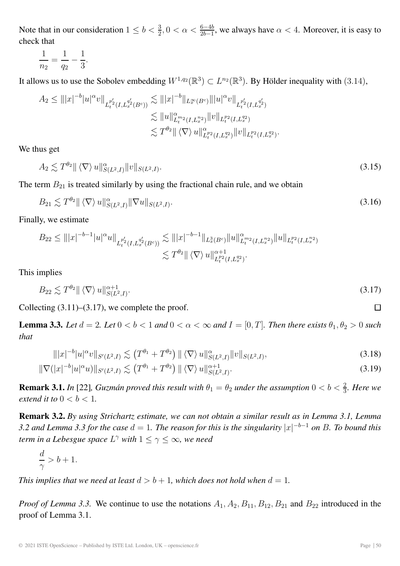Note that in our consideration  $1 \le b < \frac{3}{2}$ ,  $0 < \alpha < \frac{6-4b}{2b-1}$ , we always have  $\alpha < 4$ . Moreover, it is easy to check that

$$
\frac{1}{n_2} = \frac{1}{q_2} - \frac{1}{3}.
$$

It allows us to use the Sobolev embedding  $W^{1,q_2}(\mathbb{R}^3) \subset L^{n_2}(\mathbb{R}^3)$ . By Hölder inequality with (3.14),

$$
A_2 \leq |||x|^{-b}|u|^{\alpha}v||_{L_t^{p_2'}(I,L_x^{q_2'}(B^c))} \lesssim |||x|^{-b}||_{L_x^{\infty}(B^c)}|||u|^{\alpha}v||_{L_t^{p_2'}(I,L_x^{q_2'})}
$$
  

$$
\lesssim ||u||_{L_t^{p_2}(I,L_x^{p_2})}^{\alpha}||v||_{L_t^{p_2}(I,L_x^{q_2})}
$$
  

$$
\lesssim T^{\theta_2}||\langle \nabla \rangle u||_{L_t^{p_2}(I,L_x^{q_2})}^{\alpha}||v||_{L_t^{p_2}(I,L_x^{q_2})}.
$$

We thus get

$$
A_2 \lesssim T^{\theta_2} \| \langle \nabla \rangle u \|_{S(L^2, I)}^{\alpha} \| v \|_{S(L^2, I)}.
$$
\n(3.15)

The term  $B_{21}$  is treated similarly by using the fractional chain rule, and we obtain

$$
B_{21} \lesssim T^{\theta_2} \| \langle \nabla \rangle u \|_{S(L^2, I)}^{\alpha} \| \nabla u \|_{S(L^2, I)}.
$$
\n(3.16)

Finally, we estimate

$$
B_{22} \leq |||x|^{-b-1}|u|^{\alpha}u||_{L_t^{p_2'}(I,L_x^{q_2'}(B^c))} \lesssim |||x|^{-b-1}||_{L_x^3(B^c)}||u||_{L_t^{m_2}(I,L_x^{n_2})}^{\alpha}||u||_{L_t^{p_2}(I,L_x^{n_2})} \lesssim T^{\theta_2}||\langle \nabla \rangle u||_{L_t^{p_2}(I,L_x^{q_2})}^{\alpha+1}.
$$

This implies

$$
B_{22} \lesssim T^{\theta_2} \| \langle \nabla \rangle u \|_{S(L^2, I)}^{\alpha+1}.
$$
\n(3.17)

Collecting  $(3.11)$ – $(3.17)$ , we complete the proof.

**Lemma 3.3.** *Let*  $d = 2$ *. Let*  $0 < b < 1$  *and*  $0 < \alpha < \infty$  *and*  $I = [0, T]$ *. Then there exists*  $\theta_1, \theta_2 > 0$  *such that*

$$
\| |x|^{-b} |u|^\alpha v \|_{S'(L^2, I)} \lesssim \left( T^{\theta_1} + T^{\theta_2} \right) \| \langle \nabla \rangle \, u \|_{S(L^2, I)}^\alpha \| v \|_{S(L^2, I)}, \tag{3.18}
$$

$$
\|\nabla (|x|^{-b}|u|^\alpha u)\|_{S'(L^2,I)} \lesssim (T^{\theta_1} + T^{\theta_2}) \|\langle \nabla \rangle u\|_{S(L^2,I)}^{\alpha+1}.
$$
\n(3.19)

**Remark 3.1.** *In* [22], *Guzmán proved this result with*  $\theta_1 = \theta_2$  *under the assumption*  $0 < b < \frac{2}{3}$ *. Here we extend it to*  $0 < b < 1$ *.* 

**Remark 3.2.** *By using Strichartz estimate, we can not obtain a similar result as in Lemma 3.1, Lemma* 3.2 and Lemma 3.3 for the case  $d = 1$ . The reason for this is the singularity  $|x|^{-b-1}$  on B. To bound this *term in a Lebesgue space*  $L^{\gamma}$  *with*  $1 \leq \gamma \leq \infty$ *, we need* 

$$
\frac{d}{\gamma} > b + 1.
$$

*This implies that we need at least*  $d > b + 1$ *, which does not hold when*  $d = 1$ *.* 

*Proof of Lemma 3.3.* We continue to use the notations  $A_1$ ,  $A_2$ ,  $B_{11}$ ,  $B_{12}$ ,  $B_{21}$  and  $B_{22}$  introduced in the proof of Lemma 3.1.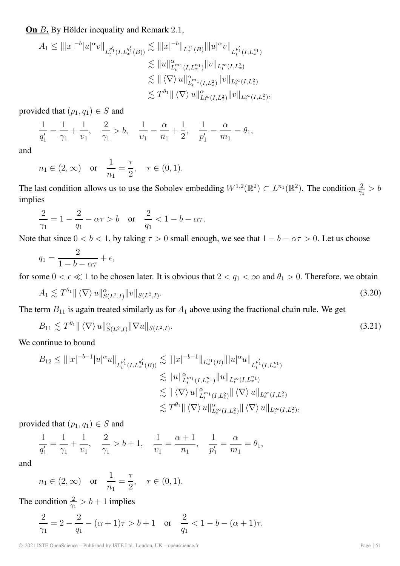**On** B**.** By Hölder inequality and Remark 2.1,

$$
A_1 \leq |||x|^{-b}|u|^\alpha v||_{L_t^{p_1'}(I,L_x^{q_1'}(B))} \lesssim |||x|^{-b}||_{L_x^{\gamma_1}(B)}|||u|^\alpha v||_{L_t^{p_1'}(I,L_x^{v_1})}
$$
  

$$
\lesssim ||u||_{L_t^{m_1}(I,L_x^{n_1})}^{\alpha} ||v||_{L_t^{\infty}(I,L_x^2)}
$$
  

$$
\lesssim ||\langle \nabla \rangle u||_{L_t^{m_1}(I,L_x^2)}^{\alpha} ||v||_{L_t^{\infty}(I,L_x^2)}
$$
  

$$
\lesssim T^{\theta_1} ||\langle \nabla \rangle u||_{L_t^{\infty}(I,L_x^2)}^{\alpha} ||v||_{L_t^{\infty}(I,L_x^2)},
$$

provided that  $(p_1, q_1) \in S$  and

$$
\frac{1}{q_1'} = \frac{1}{\gamma_1} + \frac{1}{v_1}, \quad \frac{2}{\gamma_1} > b, \quad \frac{1}{v_1} = \frac{\alpha}{n_1} + \frac{1}{2}, \quad \frac{1}{p_1'} = \frac{\alpha}{m_1} = \theta_1,
$$

and

$$
n_1 \in (2, \infty)
$$
 or  $\frac{1}{n_1} = \frac{\tau}{2}$ ,  $\tau \in (0, 1)$ .

The last condition allows us to use the Sobolev embedding  $W^{1,2}(\mathbb{R}^2) \subset L^{n_1}(\mathbb{R}^2)$ . The condition  $\frac{2}{\gamma_1} > b$ implies

$$
\frac{2}{\gamma_1} = 1 - \frac{2}{q_1} - \alpha \tau > b \quad \text{or} \quad \frac{2}{q_1} < 1 - b - \alpha \tau.
$$

Note that since  $0 < b < 1$ , by taking  $\tau > 0$  small enough, we see that  $1 - b - \alpha \tau > 0$ . Let us choose

$$
q_1 = \frac{2}{1 - b - \alpha \tau} + \epsilon,
$$

for some  $0 < \epsilon \ll 1$  to be chosen later. It is obvious that  $2 < q_1 < \infty$  and  $\theta_1 > 0$ . Therefore, we obtain

$$
A_1 \lesssim T^{\theta_1} \| \langle \nabla \rangle u \|_{S(L^2, I)}^{\alpha} \| v \|_{S(L^2, I)}.
$$
\n(3.20)

The term  $B_{11}$  is again treated similarly as for  $A_1$  above using the fractional chain rule. We get

$$
B_{11} \lesssim T^{\theta_1} \| \langle \nabla \rangle u \|_{S(L^2, I)}^{\alpha} \| \nabla u \|_{S(L^2, I)}.
$$
\n(3.21)

We continue to bound

$$
B_{12} \leq |||x|^{-b-1}|u|^{\alpha}u||_{L_t^{p_1'}(I,L_x^{q_1'}(B))} \lesssim |||x|^{-b-1}||_{L_x^{\gamma_1}(B)}|||u|^{\alpha}u||_{L_t^{p_1'}(I,L_x^{p_1})}
$$
  
\n
$$
\lesssim ||u||_{L_t^{m_1}(I,L_x^{n_1})}^{\alpha}||u||_{L_t^{\infty}(I,L_x^{n_1})}
$$
  
\n
$$
\lesssim ||\langle \nabla \rangle u||_{L_t^{m_1}(I,L_x^2)}^{\alpha}||\langle \nabla \rangle u||_{L_t^{\infty}(I,L_x^2)}
$$
  
\n
$$
\lesssim T^{\theta_1}||\langle \nabla \rangle u||_{L_t^{\infty}(I,L_x^2)}||\langle \nabla \rangle u||_{L_t^{\infty}(I,L_x^2)},
$$

provided that  $(p_1, q_1) \in S$  and

$$
\frac{1}{q_1'} = \frac{1}{\gamma_1} + \frac{1}{\nu_1}, \quad \frac{2}{\gamma_1} > b + 1, \quad \frac{1}{\nu_1} = \frac{\alpha + 1}{n_1}, \quad \frac{1}{p_1'} = \frac{\alpha}{m_1} = \theta_1,
$$

and

$$
n_1 \in (2, \infty)
$$
 or  $\frac{1}{n_1} = \frac{\tau}{2}$ ,  $\tau \in (0, 1)$ .

The condition  $\frac{2}{\gamma_1} > b + 1$  implies

$$
\frac{2}{\gamma_1} = 2 - \frac{2}{q_1} - (\alpha + 1)\tau > b + 1 \quad \text{or} \quad \frac{2}{q_1} < 1 - b - (\alpha + 1)\tau.
$$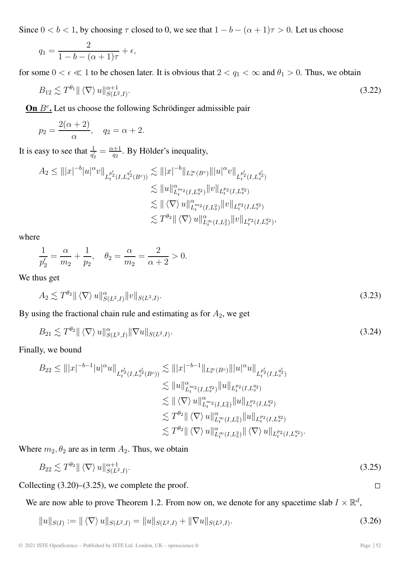Since  $0 < b < 1$ , by choosing  $\tau$  closed to 0, we see that  $1 - b - (\alpha + 1)\tau > 0$ . Let us choose

$$
q_1 = \frac{2}{1 - b - (\alpha + 1)\tau} + \epsilon,
$$

for some  $0 < \epsilon \ll 1$  to be chosen later. It is obvious that  $2 < q_1 < \infty$  and  $\theta_1 > 0$ . Thus, we obtain

$$
B_{12} \lesssim T^{\theta_1} \| \langle \nabla \rangle u \|_{S(L^2, I)}^{\alpha+1}.
$$
\n(3.22)

**On**  $B^c$ . Let us choose the following Schrödinger admissible pair

$$
p_2 = \frac{2(\alpha + 2)}{\alpha}, \quad q_2 = \alpha + 2.
$$

It is easy to see that  $\frac{1}{q'_2} = \frac{\alpha+1}{q_2}$ . By Hölder's inequality,

$$
A_2 \leq |||x|^{-b}|u|^{\alpha}v||_{L_t^{p_2'}(I,L_x^{q_2'}(B^c))} \lesssim |||x|^{-b}||_{L_x^{\infty}(B^c)}|||u|^{\alpha}v||_{L_t^{p_2'}(I,L_x^{q_2})}
$$
  

$$
\lesssim ||u||_{L_t^{m_2}(I,L_x^{q_2})}^{\alpha}||v||_{L_t^{p_2}(I,L_x^{q_2})}
$$
  

$$
\lesssim ||\langle \nabla \rangle u||_{L_t^{m_2}(I,L_x^2)}^{\alpha}||v||_{L_t^{p_2}(I,L_x^{q_2})}
$$
  

$$
\lesssim T^{\theta_2}||\langle \nabla \rangle u||_{L_t^{\infty}(I,L_x^2)}^{\alpha}||v||_{L_t^{p_2}(I,L_x^{q_2})},
$$

where

$$
\frac{1}{p'_2} = \frac{\alpha}{m_2} + \frac{1}{p_2}, \quad \theta_2 = \frac{\alpha}{m_2} = \frac{2}{\alpha + 2} > 0.
$$

We thus get

$$
A_2 \lesssim T^{\theta_2} \| \langle \nabla \rangle u \|_{S(L^2, I)}^{\alpha} \| v \|_{S(L^2, I)}.
$$
\n(3.23)

By using the fractional chain rule and estimating as for  $A_2$ , we get

$$
B_{21} \lesssim T^{\theta_2} \| \langle \nabla \rangle u \|_{S(L^2, I)}^{\alpha} \| \nabla u \|_{S(L^2, I)}.
$$
\n(3.24)

Finally, we bound

$$
B_{22} \leq |||x|^{-b-1}|u|^{\alpha}u||_{L_t^{p_2'}(I,L_x^{q_2'}(B^c))} \lesssim |||x|^{-b-1}||_{L_x^{\infty}(B^c)}|||u|^{\alpha}u||_{L_t^{p_2'}(I,L_x^{q_2})}
$$
  
\n
$$
\lesssim ||u||_{L_t^{m_2}(I,L_x^{q_2})}^{2}||u||_{L_t^{p_2}(I,L_x^{q_2})}
$$
  
\n
$$
\lesssim ||\langle \nabla \rangle u||_{L_t^{\infty}(I,L_x^{2})}^{2}||u||_{L_t^{p_2}(I,L_x^{q_2})}
$$
  
\n
$$
\lesssim T^{\theta_2}||\langle \nabla \rangle u||_{L_t^{\infty}(I,L_x^{2})}^{2}||u||_{L_t^{p_2}(I,L_x^{q_2})}
$$
  
\n
$$
\lesssim T^{\theta_2}||\langle \nabla \rangle u||_{L_t^{\infty}(I,L_x^{2})}^{2}||\langle \nabla \rangle u||_{L_t^{p_2}(I,L_x^{q_2})}^{2}.
$$

Where  $m_2, \theta_2$  are as in term  $A_2$ . Thus, we obtain

$$
B_{22} \lesssim T^{\theta_2} \| \langle \nabla \rangle u \|_{S(L^2, I)}^{\alpha+1}.
$$
\n(3.25)

Collecting  $(3.20)$ – $(3.25)$ , we complete the proof.

We are now able to prove Theorem 1.2. From now on, we denote for any spacetime slab  $I \times \mathbb{R}^d$ ,

$$
||u||_{S(I)} := ||\langle \nabla \rangle u||_{S(L^2, I)} = ||u||_{S(L^2, I)} + ||\nabla u||_{S(L^2, I)}.
$$
\n(3.26)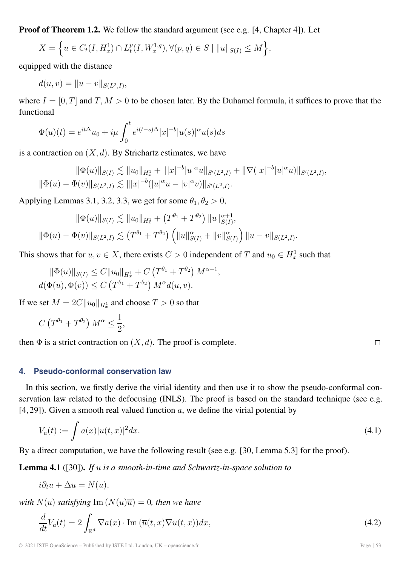**Proof of Theorem 1.2.** We follow the standard argument (see e.g. [4, Chapter 4]). Let

$$
X = \left\{ u \in C_t(I, H_x^1) \cap L_t^p(I, W_x^{1,q}), \forall (p, q) \in S \mid ||u||_{S(I)} \le M \right\},\
$$

equipped with the distance

$$
d(u, v) = ||u - v||_{S(L^2, I)},
$$

where  $I = [0, T]$  and  $T, M > 0$  to be chosen later. By the Duhamel formula, it suffices to prove that the functional

$$
\Phi(u)(t) = e^{it\Delta}u_0 + i\mu \int_0^t e^{i(t-s)\Delta} |x|^{-b} |u(s)|^{\alpha} u(s) ds
$$

is a contraction on  $(X, d)$ . By Strichartz estimates, we have

$$
\|\Phi(u)\|_{S(I)} \lesssim \|u_0\|_{H_x^1} + \|{|x|^{-b}|u|^\alpha u\|_{S'(L^2,I)} + \|\nabla (|x|^{-b}|u|^\alpha u)\|_{S'(L^2,I)},
$$
  

$$
\|\Phi(u) - \Phi(v)\|_{S(L^2,I)} \lesssim \|{|x|^{-b}} (|u|^\alpha u - |v|^\alpha v)\|_{S'(L^2,I)}.
$$

Applying Lemmas 3.1, 3.2, 3.3, we get for some  $\theta_1, \theta_2 > 0$ ,

$$
\|\Phi(u)\|_{S(I)} \lesssim \|u_0\|_{H_x^1} + (T^{\theta_1} + T^{\theta_2}) \|u\|_{S(I)}^{\alpha+1},
$$
  

$$
\|\Phi(u) - \Phi(v)\|_{S(L^2, I)} \lesssim (T^{\theta_1} + T^{\theta_2}) \left( \|u\|_{S(I)}^{\alpha} + \|v\|_{S(I)}^{\alpha} \right) \|u - v\|_{S(L^2, I)}.
$$

This shows that for  $u, v \in X$ , there exists  $C > 0$  independent of T and  $u_0 \in H_x^1$  such that

$$
\|\Phi(u)\|_{S(I)} \leq C \|u_0\|_{H_x^1} + C \left(T^{\theta_1} + T^{\theta_2}\right) M^{\alpha+1},
$$
  

$$
d(\Phi(u), \Phi(v)) \leq C \left(T^{\theta_1} + T^{\theta_2}\right) M^{\alpha} d(u, v).
$$

If we set  $M = 2C \|u_0\|_{H_x^1}$  and choose  $T > 0$  so that

$$
C\left(T^{\theta_1}+T^{\theta_2}\right)M^{\alpha}\leq \frac{1}{2},
$$

then  $\Phi$  is a strict contraction on  $(X, d)$ . The proof is complete.

#### **4. Pseudo-conformal conservation law**

In this section, we firstly derive the virial identity and then use it to show the pseudo-conformal conservation law related to the defocusing (INLS). The proof is based on the standard technique (see e.g. [4, 29]). Given a smooth real valued function  $a$ , we define the virial potential by

$$
V_a(t) := \int a(x)|u(t,x)|^2 dx.
$$
 (4.1)

By a direct computation, we have the following result (see e.g. [30, Lemma 5.3] for the proof).

**Lemma 4.1** ([30])**.** *If* u *is a smooth-in-time and Schwartz-in-space solution to*

$$
i\partial_t u + \Delta u = N(u),
$$

*with*  $N(u)$  *satisfying* Im  $(N(u)\overline{u})=0$ *, then we have* 

$$
\frac{d}{dt}V_a(t) = 2\int_{\mathbb{R}^d} \nabla a(x) \cdot \text{Im}(\overline{u}(t,x) \nabla u(t,x)) dx,
$$
\n(4.2)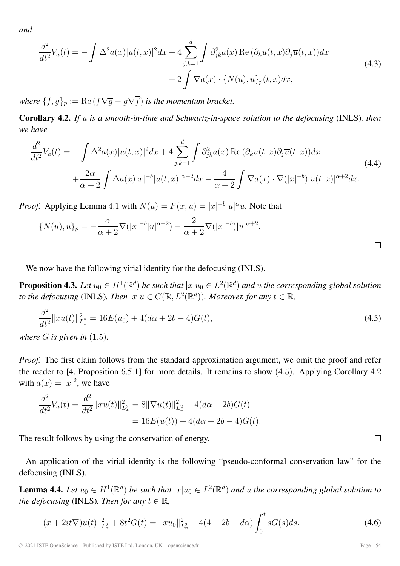*and*

$$
\frac{d^2}{dt^2}V_a(t) = -\int \Delta^2 a(x)|u(t,x)|^2 dx + 4 \sum_{j,k=1}^d \int \partial_{jk}^2 a(x) \operatorname{Re}(\partial_k u(t,x) \partial_j \overline{u}(t,x)) dx + 2 \int \nabla a(x) \cdot \{N(u), u\}_p(t,x) dx,
$$
\n(4.3)

*where*  $\{f,g\}_p := \text{Re}\,(f\nabla\overline{g} - g\nabla\overline{f})$  *is the momentum bracket.* 

**Corollary 4.2.** *If* u *is a smooth-in-time and Schwartz-in-space solution to the defocusing* (INLS)*, then we have*

$$
\frac{d^2}{dt^2}V_a(t) = -\int \Delta^2 a(x)|u(t,x)|^2 dx + 4 \sum_{j,k=1}^d \int \partial_{jk}^2 a(x) \operatorname{Re}(\partial_k u(t,x) \partial_j \overline{u}(t,x)) dx \n+ \frac{2\alpha}{\alpha+2} \int \Delta a(x)|x|^{-b}|u(t,x)|^{\alpha+2} dx - \frac{4}{\alpha+2} \int \nabla a(x) \cdot \nabla (|x|^{-b})|u(t,x)|^{\alpha+2} dx.
$$
\n(4.4)

*Proof.* Applying Lemma 4.1 with  $N(u) = F(x, u) = |x|^{-b} |u|^{\alpha} u$ . Note that

$$
\{N(u),u\}_p = -\frac{\alpha}{\alpha+2}\nabla(|x|^{-b}|u|^{\alpha+2}) - \frac{2}{\alpha+2}\nabla(|x|^{-b})|u|^{\alpha+2}.
$$

We now have the following virial identity for the defocusing (INLS).

**Proposition 4.3.** *Let*  $u_0 \in H^1(\mathbb{R}^d)$  *be such that*  $|x|u_0 \in L^2(\mathbb{R}^d)$  *and u the corresponding global solution to the defocusing* (INLS)*. Then*  $|x|u \in C(\mathbb{R}, L^2(\mathbb{R}^d))$ *. Moreover, for any*  $t \in \mathbb{R}$ *,* 

$$
\frac{d^2}{dt^2} ||xu(t)||_{L_x^2}^2 = 16E(u_0) + 4(d\alpha + 2b - 4)G(t),
$$
\n(4.5)

*where* G *is given in* (1.5)*.*

*Proof.* The first claim follows from the standard approximation argument, we omit the proof and refer the reader to [4, Proposition 6.5.1] for more details. It remains to show (4.5). Applying Corollary 4.2 with  $a(x) = |x|^2$ , we have

$$
\frac{d^2}{dt^2}V_a(t) = \frac{d^2}{dt^2}||xu(t)||_{L_x^2}^2 = 8||\nabla u(t)||_{L_x^2}^2 + 4(d\alpha + 2b)G(t)
$$

$$
= 16E(u(t)) + 4(d\alpha + 2b - 4)G(t).
$$

The result follows by using the conservation of energy.

An application of the virial identity is the following "pseudo-conformal conservation law" for the defocusing (INLS).

**Lemma 4.4.** *Let*  $u_0 \in H^1(\mathbb{R}^d)$  *be such that*  $|x|u_0 \in L^2(\mathbb{R}^d)$  *and u the corresponding global solution to the defocusing* (INLS)*. Then for any*  $t \in \mathbb{R}$ *,* 

$$
\|(x+2it\nabla)u(t)\|_{L_x^2}^2 + 8t^2G(t) = \|xu_0\|_{L_x^2}^2 + 4(4-2b-d\alpha)\int_0^t sG(s)ds.
$$
 (4.6)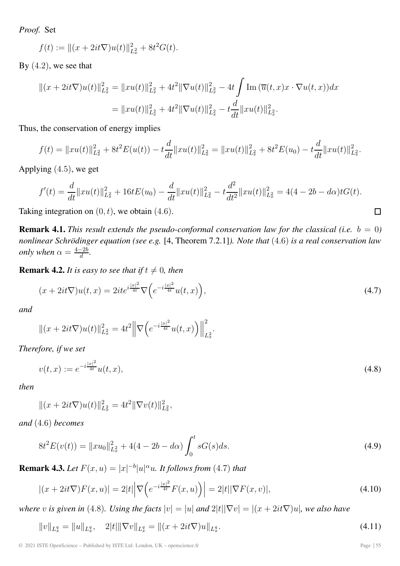*Proof.* Set

$$
f(t) := ||(x + 2it\nabla)u(t)||_{L_x^2}^2 + 8t^2G(t).
$$

By  $(4.2)$ , we see that

$$
||(x + 2it\nabla)u(t)||_{L_x^2}^2 = ||xu(t)||_{L_x^2}^2 + 4t^2 ||\nabla u(t)||_{L_x^2}^2 - 4t \int \text{Im}(\overline{u}(t, x)x \cdot \nabla u(t, x))dx
$$
  

$$
= ||xu(t)||_{L_x^2}^2 + 4t^2 ||\nabla u(t)||_{L_x^2}^2 - t \frac{d}{dt} ||xu(t)||_{L_x^2}^2.
$$

Thus, the conservation of energy implies

$$
f(t) = ||xu(t)||_{L_x^2}^2 + 8t^2E(u(t)) - t\frac{d}{dt}||xu(t)||_{L_x^2}^2 = ||xu(t)||_{L_x^2}^2 + 8t^2E(u_0) - t\frac{d}{dt}||xu(t)||_{L_x^2}^2.
$$

Applying (4.5), we get

$$
f'(t) = \frac{d}{dt} ||xu(t)||_{L_x^2}^2 + 16tE(u_0) - \frac{d}{dt} ||xu(t)||_{L_x^2}^2 - t\frac{d^2}{dt^2} ||xu(t)||_{L_x^2}^2 = 4(4 - 2b - d\alpha)tG(t).
$$

Taking integration on  $(0, t)$ , we obtain  $(4.6)$ .

**Remark 4.1.** *This result extends the pseudo-conformal conservation law for the classical (i.e.*  $b = 0$ ) *nonlinear Schrödinger equation (see e.g.* [4, Theorem 7.2.1]*). Note that* (4.6) *is a real conservation law only when*  $\alpha = \frac{4-2b}{d}$ .

**Remark 4.2.** *It is easy to see that if*  $t \neq 0$ *, then* 

$$
(x+2it\nabla)u(t,x) = 2ite^{i\frac{|x|^2}{4t}}\nabla\left(e^{-i\frac{|x|^2}{4t}}u(t,x)\right),\tag{4.7}
$$

.

*and*

$$
\|(x+2it\nabla)u(t)\|_{L_x^2}^2 = 4t^2 \left\|\nabla\left(e^{-i\frac{|x|^2}{4t}}u(t,x)\right)\right\|_{L_x^2}^2
$$

*Therefore, if we set*

$$
v(t,x) := e^{-i\frac{|x|^2}{4t}}u(t,x),
$$
\n(4.8)

*then*

$$
||(x+2it\nabla)u(t)||_{L_x^2}^2 = 4t^2||\nabla v(t)||_{L_x^2}^2,
$$

*and* (4.6) *becomes*

$$
8t^2E(v(t)) = \|xu_0\|_{L_x^2}^2 + 4(4-2b-d\alpha)\int_0^t sG(s)ds.
$$
\n(4.9)

**Remark 4.3.** Let  $F(x, u) = |x|^{-b}|u|^\alpha u$ . It follows from (4.7) that

$$
|(x+2it\nabla)F(x,u)| = 2|t|\left|\nabla\left(e^{-i\frac{|x|^2}{4t}}F(x,u)\right)\right| = 2|t||\nabla F(x,v)|,\tag{4.10}
$$

*where* v *is given in* (4.8)*. Using the facts*  $|v| = |u|$  *and*  $2|t||\nabla v| = |(x + 2it\nabla)u|$ *, we also have* 

$$
||v||_{L_x^q} = ||u||_{L_x^q}, \quad 2|t|||\nabla v||_{L_x^q} = ||(x+2it\nabla)u||_{L_x^q}.
$$
\n(4.11)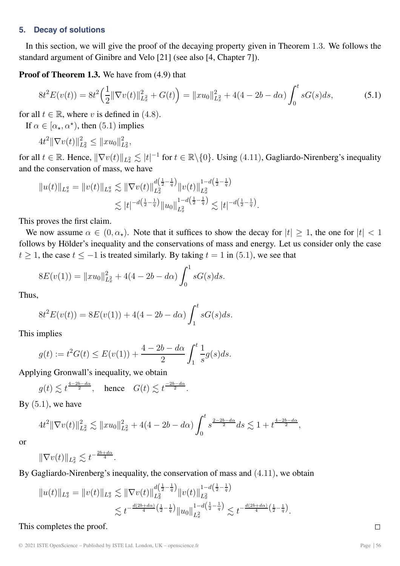#### **5. Decay of solutions**

In this section, we will give the proof of the decaying property given in Theorem 1.3. We follows the standard argument of Ginibre and Velo [21] (see also [4, Chapter 7]).

**Proof of Theorem 1.3.** We have from (4.9) that

$$
8t^2E(v(t)) = 8t^2\left(\frac{1}{2}\|\nabla v(t)\|_{L_x^2}^2 + G(t)\right) = \|xu_0\|_{L_x^2}^2 + 4(4 - 2b - d\alpha)\int_0^t sG(s)ds,\tag{5.1}
$$

for all  $t \in \mathbb{R}$ , where v is defined in (4.8).

If  $\alpha \in [\alpha_{\star}, \alpha^{\star})$ , then (5.1) implies

 $4t^2 \|\nabla v(t)\|_{L_x^2}^2 \leq \|xu_0\|_{L_x^2}^2,$ 

for all  $t \in \mathbb{R}$ . Hence,  $\|\nabla v(t)\|_{L^2_x} \lesssim |t|^{-1}$  for  $t \in \mathbb{R} \setminus \{0\}$ . Using (4.11), Gagliardo-Nirenberg's inequality and the conservation of mass, we have

$$
||u(t)||_{L_x^q} = ||v(t)||_{L_x^q} \lesssim ||\nabla v(t)||_{L_x^2}^{d(\frac{1}{2}-\frac{1}{q})} ||v(t)||_{L_x^2}^{1-d(\frac{1}{2}-\frac{1}{q})}
$$
  

$$
\lesssim |t|^{-d(\frac{1}{2}-\frac{1}{q})} ||u_0||_{L_x^2}^{1-d(\frac{1}{2}-\frac{1}{q})} \lesssim |t|^{-d(\frac{1}{2}-\frac{1}{q})}.
$$

This proves the first claim.

We now assume  $\alpha \in (0, \alpha_{\star})$ . Note that it suffices to show the decay for  $|t| > 1$ , the one for  $|t| < 1$ follows by Hölder's inequality and the conservations of mass and energy. Let us consider only the case t  $\geq 1$ , the case  $t \leq -1$  is treated similarly. By taking  $t = 1$  in (5.1), we see that

$$
8E(v(1)) = ||xu_0||_{L_x^2}^2 + 4(4 - 2b - d\alpha) \int_0^1 sG(s)ds.
$$

Thus,

$$
8t2E(v(t)) = 8E(v(1)) + 4(4 - 2b - d\alpha) \int_1^t sG(s)ds.
$$

This implies

$$
g(t) := t2G(t) \le E(v(1)) + \frac{4 - 2b - d\alpha}{2} \int_1^t \frac{1}{s} g(s) ds.
$$

Applying Gronwall's inequality, we obtain

$$
g(t) \lesssim t^{\frac{4-2b-d\alpha}{2}}
$$
, hence  $G(t) \lesssim t^{\frac{-2b-d\alpha}{2}}$ .

By  $(5.1)$ , we have

$$
4t^2 \|\nabla v(t)\|_{L_x^2}^2 \lesssim \|xu_0\|_{L_x^2}^2 + 4(4-2b-d\alpha) \int_0^t s^{\frac{2-2b-d\alpha}{2}} ds \lesssim 1 + t^{\frac{4-2b-d\alpha}{2}},
$$

or

$$
\|\nabla v(t)\|_{L^2_x} \lesssim t^{-\frac{2b+d\alpha}{4}}.
$$

By Gagliardo-Nirenberg's inequality, the conservation of mass and (4.11), we obtain

$$
||u(t)||_{L_x^q} = ||v(t)||_{L_x^q} \lesssim ||\nabla v(t)||_{L_x^2}^{\frac{d(\frac{1}{2}-\frac{1}{q})}{2}} ||v(t)||_{L_x^2}^{1-d(\frac{1}{2}-\frac{1}{q})}
$$
  

$$
\lesssim t^{-\frac{d(2b+d\alpha)}{4}(\frac{1}{2}-\frac{1}{q})} ||u_0||_{L_x^2}^{1-d(\frac{1}{2}-\frac{1}{q})} \lesssim t^{-\frac{d(2b+d\alpha)}{4}(\frac{1}{2}-\frac{1}{q})}.
$$

This completes the proof.  $\Box$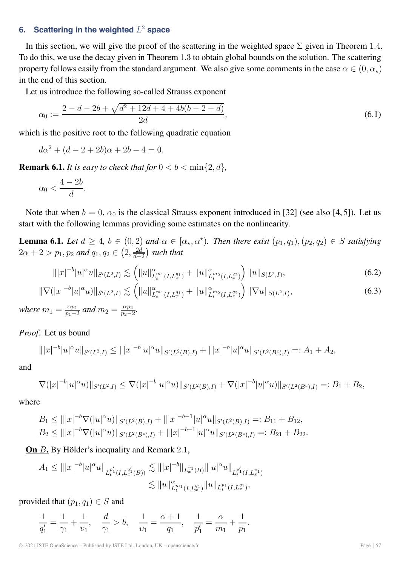## **6.** Scattering in the weighted  $L^2$  space

In this section, we will give the proof of the scattering in the weighted space  $\Sigma$  given in Theorem 1.4. To do this, we use the decay given in Theorem 1.3 to obtain global bounds on the solution. The scattering property follows easily from the standard argument. We also give some comments in the case  $\alpha \in (0, \alpha_{\star})$ in the end of this section.

Let us introduce the following so-called Strauss exponent

$$
\alpha_0 := \frac{2 - d - 2b + \sqrt{d^2 + 12d + 4 + 4b(b - 2 - d)}}{2d},\tag{6.1}
$$

which is the positive root to the following quadratic equation

$$
d\alpha^2 + (d - 2 + 2b)\alpha + 2b - 4 = 0.
$$

**Remark 6.1.** *It is easy to check that for*  $0 < b < \min\{2, d\}$ ,

$$
\alpha_0 < \frac{4-2b}{d}.
$$

Note that when  $b = 0$ ,  $\alpha_0$  is the classical Strauss exponent introduced in [32] (see also [4, 5]). Let us start with the following lemmas providing some estimates on the nonlinearity.

**Lemma 6.1.** *Let*  $d \geq 4$ ,  $b \in (0, 2)$  *and*  $\alpha \in [\alpha_{\star}, \alpha^{\star})$ *. Then there exist*  $(p_1, q_1), (p_2, q_2) \in S$  *satisfying*  $2\alpha + 2 > p_1, p_2 \text{ and } q_1, q_2 \in \left(2, \frac{2d}{d-2}\right)$ *such that*

$$
|||x|^{-b}|u|^{\alpha}u||_{S'(L^2,I)} \lesssim \left(||u||^{\alpha}_{L_t^{m_1}(I,L_x^{q_1})} + ||u||^{\alpha}_{L_t^{m_2}(I,L_x^{q_2})}\right) ||u||_{S(L^2,I)},\tag{6.2}
$$

$$
\|\nabla (|x|^{-b}|u|^\alpha u)\|_{S'(L^2,I)} \lesssim \left( \|u\|_{L_t^{m_1}(I,L_x^{q_1})}^\alpha + \|u\|_{L_t^{m_2}(I,L_x^{q_2})}^\alpha \right) \|\nabla u\|_{S(L^2,I)},\tag{6.3}
$$

*where*  $m_1 = \frac{\alpha p_1}{p_1 - 2}$  *and*  $m_2 = \frac{\alpha p_2}{p_2 - 2}$ *.* 

*Proof.* Let us bound

$$
\| |x|^{-b} |u|^\alpha u \|_{S'(L^2, I)} \le \| |x|^{-b} |u|^\alpha u \|_{S'(L^2(B), I)} + \| |x|^{-b} |u|^\alpha u \|_{S'(L^2(B^c), I)} =: A_1 + A_2,
$$

and

$$
\nabla (|x|^{-b}|u|^\alpha u)\|_{S'(L^2,I)} \leq \nabla (|x|^{-b}|u|^\alpha u)\|_{S'(L^2(B),I)} + \nabla (|x|^{-b}|u|^\alpha u)\|_{S'(L^2(B^c),I)} =: B_1 + B_2,
$$

where

$$
B_1 \le |||x|^{-b}\nabla(|u|^\alpha u)||_{S'(L^2(B),I)} + |||x|^{-b-1}|u|^\alpha u||_{S'(L^2(B),I)} =: B_{11} + B_{12},
$$
  
\n
$$
B_2 \le |||x|^{-b}\nabla(|u|^\alpha u)||_{S'(L^2(B^c),I)} + |||x|^{-b-1}|u|^\alpha u||_{S'(L^2(B^c),I)} =: B_{21} + B_{22}.
$$

**On** B**.** By Hölder's inequality and Remark 2.1,

$$
A_1 \leq |||x|^{-b}|u|^\alpha u||_{L_t^{p_1'}(I,L_x^{q_1'}(B))} \lesssim |||x|^{-b}||_{L_x^{\gamma_1}(B)}|||u|^\alpha u||_{L_t^{p_1'}(I,L_x^{v_1})}
$$
  

$$
\lesssim ||u||_{L_t^{m_1}(I,L_x^{q_1})}^{\alpha} ||u||_{L_t^{p_1}(I,L_x^{q_1})},
$$

provided that  $(p_1, q_1) \in S$  and

$$
\frac{1}{q_1'} = \frac{1}{\gamma_1} + \frac{1}{\nu_1}, \quad \frac{d}{\gamma_1} > b, \quad \frac{1}{\nu_1} = \frac{\alpha + 1}{q_1}, \quad \frac{1}{p_1'} = \frac{\alpha}{m_1} + \frac{1}{p_1}.
$$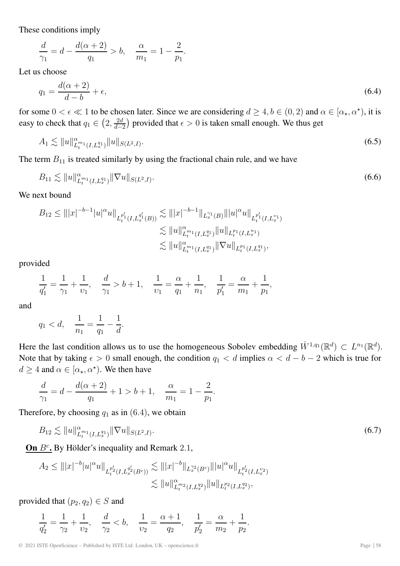These conditions imply

$$
\frac{d}{\gamma_1} = d - \frac{d(\alpha + 2)}{q_1} > b, \quad \frac{\alpha}{m_1} = 1 - \frac{2}{p_1}.
$$

Let us choose

$$
q_1 = \frac{d(\alpha + 2)}{d - b} + \epsilon,\tag{6.4}
$$

for some  $0 < \epsilon \ll 1$  to be chosen later. Since we are considering  $d \geq 4$ ,  $b \in (0, 2)$  and  $\alpha \in [\alpha_{\star}, \alpha^{\star})$ , it is easy to check that  $q_1 \in \left(2, \frac{2d}{d-2}\right)$ ) provided that  $\epsilon > 0$  is taken small enough. We thus get

$$
A_1 \lesssim \|u\|_{L_t^{m_1}(I, L_x^{q_1})}^{\alpha} \|u\|_{S(L^2, I)}.
$$
\n(6.5)

The term  $B_{11}$  is treated similarly by using the fractional chain rule, and we have

$$
B_{11} \lesssim \|u\|_{L_t^{m_1}(I, L_x^{q_1})}^{\alpha} \|\nabla u\|_{S(L^2, I)}.
$$
\n(6.6)

We next bound

$$
B_{12} \leq |||x|^{-b-1}|u|^{\alpha}u||_{L_t^{p_1'}(I,L_x^{q_1'}(B))} \lesssim |||x|^{-b-1}||_{L_x^{q_1}(B)}|||u|^{\alpha}u||_{L_t^{p_1'}(I,L_x^{v_1})}
$$
  

$$
\lesssim ||u||_{L_t^{p_1}(I,L_x^{q_1})}^{\alpha}||u||_{L_t^{p_1}(I,L_x^{q_1})}
$$
  

$$
\lesssim ||u||_{L_t^{p_1}(I,L_x^{q_1})}^{\alpha}||\nabla u||_{L_t^{p_1}(I,L_x^{q_1})},
$$

provided

$$
\frac{1}{q_1'} = \frac{1}{\gamma_1} + \frac{1}{\nu_1}, \quad \frac{d}{\gamma_1} > b + 1, \quad \frac{1}{\nu_1} = \frac{\alpha}{q_1} + \frac{1}{n_1}, \quad \frac{1}{p_1'} = \frac{\alpha}{m_1} + \frac{1}{p_1},
$$

and

$$
q_1 < d, \quad \frac{1}{n_1} = \frac{1}{q_1} - \frac{1}{d}.
$$

Here the last condition allows us to use the homogeneous Sobolev embedding  $\dot{W}^{1,q_1}(\mathbb{R}^d) \subset L^{n_1}(\mathbb{R}^d)$ . Note that by taking  $\epsilon > 0$  small enough, the condition  $q_1 < d$  implies  $\alpha < d - b - 2$  which is true for  $d \geq 4$  and  $\alpha \in [\alpha_{\star}, \alpha^{\star})$ . We then have

$$
\frac{d}{\gamma_1} = d - \frac{d(\alpha + 2)}{q_1} + 1 > b + 1, \quad \frac{\alpha}{m_1} = 1 - \frac{2}{p_1}
$$

Therefore, by choosing  $q_1$  as in (6.4), we obtain

$$
B_{12} \lesssim ||u||_{L_t^{m_1}(I, L_x^{q_1})}^{\alpha} ||\nabla u||_{S(L^2, I)}.
$$
\n(6.7)

.

**On**  $B^c$ **,** By Hölder's inequality and Remark 2.1,

$$
A_2 \leq |||x|^{-b}|u|^\alpha u||_{L_t^{p_2'}(I,L_x^{q_2'}(B^c))} \lesssim |||x|^{-b}||_{L_x^{q_2}(B^c)} |||u|^\alpha u||_{L_t^{p_2'}(I,L_x^{p_2})}
$$
  

$$
\lesssim ||u||_{L_t^{m_2}(I,L_x^{q_2})}^{\alpha} ||u||_{L_t^{p_2}(I,L_x^{q_2})},
$$

provided that  $(p_2, q_2) \in S$  and

$$
\frac{1}{q'_2} = \frac{1}{\gamma_2} + \frac{1}{\nu_2}, \quad \frac{d}{\gamma_2} < b, \quad \frac{1}{\nu_2} = \frac{\alpha + 1}{q_2}, \quad \frac{1}{p'_2} = \frac{\alpha}{m_2} + \frac{1}{p_2}.
$$

© 2021 ISTE OpenScience – Published by ISTE Ltd. London, UK – openscience.fr Page | 58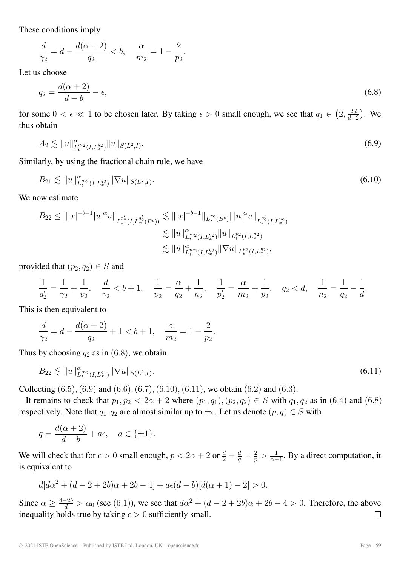These conditions imply

$$
\frac{d}{\gamma_2} = d - \frac{d(\alpha + 2)}{q_2} < b, \quad \frac{\alpha}{m_2} = 1 - \frac{2}{p_2}.
$$

Let us choose

$$
q_2 = \frac{d(\alpha + 2)}{d - b} - \epsilon,\tag{6.8}
$$

for some  $0 < \epsilon \ll 1$  to be chosen later. By taking  $\epsilon > 0$  small enough, we see that  $q_1 \in \left(2, \frac{2d}{d-2}\right)$  . We thus obtain

$$
A_2 \lesssim \|u\|_{L_t^{m_2}(I,L_x^{q_2})}^{\alpha} \|u\|_{S(L^2,I)}.
$$
\n(6.9)

Similarly, by using the fractional chain rule, we have

$$
B_{21} \lesssim \|u\|_{L_t^{m_2}(I, L_x^{q_2})}^{\alpha} \|\nabla u\|_{S(L^2, I)}.
$$
\n(6.10)

We now estimate

$$
B_{22} \leq |||x|^{-b-1}|u|^{\alpha}u||_{L_t^{p_2'}(I,L_x^{q_2'}(B^c))} \lesssim |||x|^{-b-1}||_{L_x^{p_2}(B^c)}|||u|^{\alpha}u||_{L_t^{p_2'}(I,L_x^{v_2})}
$$
  

$$
\lesssim ||u||_{L_t^{m_2}(I,L_x^{q_2})}^{\alpha}||u||_{L_t^{p_2}(I,L_x^{q_2})}
$$
  

$$
\lesssim ||u||_{L_t^{m_2}(I,L_x^{q_2})}^{\alpha}||\nabla u||_{L_t^{p_2}(I,L_x^{q_2})},
$$

provided that  $(p_2, q_2) \in S$  and

$$
\frac{1}{q_2'} = \frac{1}{\gamma_2} + \frac{1}{\nu_2}, \quad \frac{d}{\gamma_2} < b + 1, \quad \frac{1}{\nu_2} = \frac{\alpha}{q_2} + \frac{1}{n_2}, \quad \frac{1}{p_2'} = \frac{\alpha}{m_2} + \frac{1}{p_2}, \quad q_2 < d, \quad \frac{1}{n_2} = \frac{1}{q_2} - \frac{1}{d}.
$$

This is then equivalent to

$$
\frac{d}{\gamma_2} = d - \frac{d(\alpha + 2)}{q_2} + 1 < b + 1, \quad \frac{\alpha}{m_2} = 1 - \frac{2}{p_2}
$$

Thus by choosing  $q_2$  as in (6.8), we obtain

$$
B_{22} \lesssim \|u\|_{L_t^{m_2}(I, L_x^{q_1})}^{\alpha} \|\nabla u\|_{S(L^2, I)}.
$$
\n(6.11)

.

Collecting  $(6.5)$ ,  $(6.9)$  and  $(6.6)$ ,  $(6.7)$ ,  $(6.10)$ ,  $(6.11)$ , we obtain  $(6.2)$  and  $(6.3)$ .

It remains to check that  $p_1, p_2 < 2\alpha + 2$  where  $(p_1, q_1), (p_2, q_2) \in S$  with  $q_1, q_2$  as in (6.4) and (6.8) respectively. Note that  $q_1, q_2$  are almost similar up to  $\pm \epsilon$ . Let us denote  $(p, q) \in S$  with

$$
q = \frac{d(\alpha + 2)}{d - b} + a\epsilon, \quad a \in \{\pm 1\}.
$$

We will check that for  $\epsilon > 0$  small enough,  $p < 2\alpha + 2$  or  $\frac{d}{2} - \frac{d}{q} = \frac{2}{p} > \frac{1}{\alpha+1}$ . By a direct computation, it is equivalent to

$$
d[d\alpha^{2} + (d - 2 + 2b)\alpha + 2b - 4] + a\epsilon(d - b)[d(\alpha + 1) - 2] > 0.
$$

Since  $\alpha \ge \frac{4-2b}{d} > \alpha_0$  (see (6.1)), we see that  $d\alpha^2 + (d-2+2b)\alpha + 2b - 4 > 0$ . Therefore, the above inequality holds true by taking  $\epsilon > 0$  sufficiently small.  $\Box$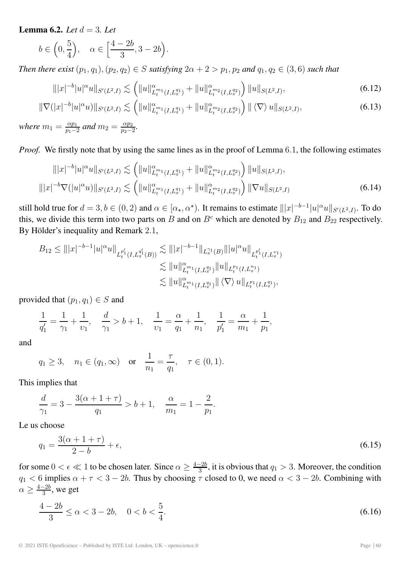**Lemma 6.2.** *Let*  $d = 3$ *. Let* 

$$
b\in\Big(0,\frac{5}{4}\Big),\quad \alpha\in\Big[\frac{4-2b}{3},3-2b\Big).
$$

*Then there exist*  $(p_1, q_1), (p_2, q_2) \in S$  *satisfying*  $2\alpha + 2 > p_1, p_2$  *and*  $q_1, q_2 \in (3, 6)$  *such that* 

$$
\| |x|^{-b} |u|^\alpha u \|_{S'(L^2, I)} \lesssim \left( \| u \|_{L_t^{m_1}(I, L_x^{q_1})}^\alpha + \| u \|_{L_t^{m_2}(I, L_x^{q_2})}^\alpha \right) \| u \|_{S(L^2, I)}, \tag{6.12}
$$

$$
\|\nabla (|x|^{-b}|u|^\alpha u)\|_{S'(L^2,I)} \lesssim \left( \|u\|_{L_t^{m_1}(I,L_x^{q_1})}^\alpha + \|u\|_{L_t^{m_2}(I,L_x^{q_2})}^\alpha \right) \|\langle \nabla \rangle \, u\|_{S(L^2,I)},\tag{6.13}
$$

*where*  $m_1 = \frac{\alpha p_1}{p_1 - 2}$  *and*  $m_2 = \frac{\alpha p_2}{p_2 - 2}$ *.* 

*Proof.* We firstly note that by using the same lines as in the proof of Lemma 6.1, the following estimates

$$
\| |x|^{-b} |u|^{\alpha} u \|_{S'(L^2, I)} \lesssim \left( \| u \|_{L_t^{m_1}(I, L_x^{q_1})}^{\alpha} + \| u \|_{L_t^{m_2}(I, L_x^{q_2})}^{\alpha} \right) \| u \|_{S(L^2, I)},
$$
  

$$
\| |x|^{-b} \nabla (|u|^{\alpha} u) \|_{S'(L^2, I)} \lesssim \left( \| u \|_{L_t^{m_1}(I, L_x^{q_1})}^{\alpha} + \| u \|_{L_t^{m_2}(I, L_x^{q_2})}^{\alpha} \right) \| \nabla u \|_{S(L^2, I)} \tag{6.14}
$$

still hold true for  $d = 3, b \in (0, 2)$  and  $\alpha \in [\alpha_{\star}, \alpha^{\star})$ . It remains to estimate  $|||x|^{-b-1}|u|^{\alpha}u||_{S'(L^2, I)}$ . To do this, we divide this term into two parts on B and on  $B<sup>c</sup>$  which are denoted by  $B<sub>12</sub>$  and  $B<sub>22</sub>$  respectively. By Hölder's inequality and Remark 2.1,

$$
B_{12} \leq |||x|^{-b-1}|u|^{\alpha}u||_{L_t^{p_1'}(I,L_x^{q_1'}(B))} \lesssim |||x|^{-b-1}||_{L_x^{q_1}(B)}|||u|^{\alpha}u||_{L_t^{p_1'}(I,L_x^{q_1})}
$$
  

$$
\lesssim ||u||_{L_t^{m_1}(I,L_x^{q_1})}^{\alpha} ||u||_{L_t^{p_1}(I,L_x^{q_1})}
$$
  

$$
\lesssim ||u||_{L_t^{m_1}(I,L_x^{q_1})}^{\alpha} ||\langle \nabla \rangle u||_{L_t^{p_1}(I,L_x^{q_1})},
$$

provided that  $(p_1, q_1) \in S$  and

$$
\frac{1}{q_1'} = \frac{1}{\gamma_1} + \frac{1}{\nu_1}, \quad \frac{d}{\gamma_1} > b + 1, \quad \frac{1}{\nu_1} = \frac{\alpha}{q_1} + \frac{1}{n_1}, \quad \frac{1}{p_1'} = \frac{\alpha}{m_1} + \frac{1}{p_1},
$$

and

$$
q_1 \ge 3
$$
,  $n_1 \in (q_1, \infty)$  or  $\frac{1}{n_1} = \frac{\tau}{q_1}$ ,  $\tau \in (0, 1)$ .

This implies that

$$
\frac{d}{\gamma_1} = 3 - \frac{3(\alpha + 1 + \tau)}{q_1} > b + 1, \quad \frac{\alpha}{m_1} = 1 - \frac{2}{p_1}.
$$

Le us choose

$$
q_1 = \frac{3(\alpha + 1 + \tau)}{2 - b} + \epsilon,\tag{6.15}
$$

for some  $0 < \epsilon \ll 1$  to be chosen later. Since  $\alpha \ge \frac{4-2b}{3}$ , it is obvious that  $q_1 > 3$ . Moreover, the condition  $q_1 < 6$  implies  $\alpha + \tau < 3 - 2b$ . Thus by choosing  $\tau$  closed to 0, we need  $\alpha < 3 - 2b$ . Combining with  $\alpha \geq \frac{4-2b}{3}$ , we get

$$
\frac{4-2b}{3} \le \alpha < 3-2b, \quad 0 < b < \frac{5}{4}.\tag{6.16}
$$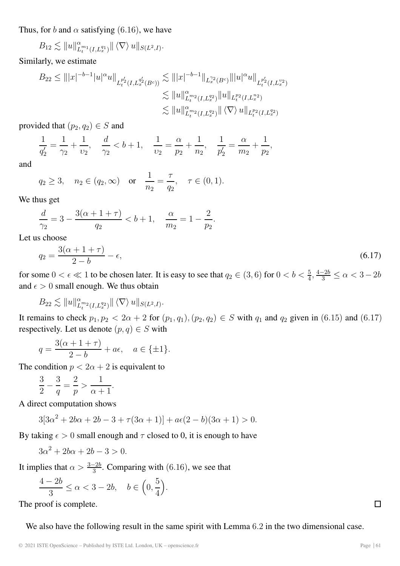Thus, for b and  $\alpha$  satisfying (6.16), we have

$$
B_{12} \lesssim ||u||_{L_t^{m_1}(I,L_x^{q_1})}^{\alpha} || \langle \nabla \rangle \, u||_{S(L^2,I)}.
$$

Similarly, we estimate

$$
B_{22} \leq |||x|^{-b-1}|u|^\alpha u||_{L_t^{p_2'}(I,L_x^{q_2'}(B^c))} \lesssim |||x|^{-b-1}||_{L_x^{p_2}(B^c)}|||u|^\alpha u||_{L_t^{p_2'}(I,L_x^{p_2})}
$$
  

$$
\lesssim ||u||_{L_t^{p_2}(I,L_x^{q_2})}^{\alpha} ||u||_{L_t^{p_2}(I,L_x^{q_2})}
$$
  

$$
\lesssim ||u||_{L_t^{p_2}(I,L_x^{q_2})}^{\alpha} ||\langle \nabla \rangle u||_{L_t^{p_2}(I,L_x^{q_2})}
$$

provided that  $(p_2, q_2) \in S$  and

$$
\frac{1}{q'_2} = \frac{1}{\gamma_2} + \frac{1}{\nu_2}, \quad \frac{d}{\gamma_2} < b + 1, \quad \frac{1}{\nu_2} = \frac{\alpha}{p_2} + \frac{1}{n_2}, \quad \frac{1}{p'_2} = \frac{\alpha}{m_2} + \frac{1}{p_2},
$$

and

$$
q_2 \ge 3
$$
,  $n_2 \in (q_2, \infty)$  or  $\frac{1}{n_2} = \frac{\tau}{q_2}$ ,  $\tau \in (0, 1)$ .

We thus get

$$
\frac{d}{\gamma_2} = 3 - \frac{3(\alpha + 1 + \tau)}{q_2} < b + 1, \quad \frac{\alpha}{m_2} = 1 - \frac{2}{p_2}.
$$

Let us choose

$$
q_2 = \frac{3(\alpha + 1 + \tau)}{2 - b} - \epsilon,\tag{6.17}
$$

for some  $0 < \epsilon \ll 1$  to be chosen later. It is easy to see that  $q_2 \in (3,6)$  for  $0 < b < \frac{5}{4}$ ,  $\frac{4-2b}{3} \le \alpha < 3-2b$ and  $\epsilon > 0$  small enough. We thus obtain

$$
B_{22} \lesssim \|u\|_{L_t^{m_2}(I,L_x^{q_2})}^{\alpha} \| \langle \nabla \rangle \, u \|_{S(L^2,I)}.
$$

It remains to check  $p_1, p_2 < 2\alpha + 2$  for  $(p_1, q_1), (p_2, q_2) \in S$  with  $q_1$  and  $q_2$  given in (6.15) and (6.17) respectively. Let us denote  $(p, q) \in S$  with

$$
q = \frac{3(\alpha + 1 + \tau)}{2 - b} + a\epsilon, \quad a \in \{\pm 1\}.
$$

The condition  $p < 2\alpha + 2$  is equivalent to

$$
\frac{3}{2} - \frac{3}{q} = \frac{2}{p} > \frac{1}{\alpha + 1}.
$$

A direct computation shows

$$
3[3\alpha^2 + 2b\alpha + 2b - 3 + \tau(3\alpha + 1)] + a\epsilon(2 - b)(3\alpha + 1) > 0.
$$

By taking  $\epsilon > 0$  small enough and  $\tau$  closed to 0, it is enough to have

$$
3\alpha^2 + 2b\alpha + 2b - 3 > 0.
$$

It implies that  $\alpha > \frac{3-2b}{3}$ . Comparing with (6.16), we see that

$$
\frac{4-2b}{3} \le \alpha < 3-2b, \quad b \in \left(0, \frac{5}{4}\right).
$$

The proof is complete.

We also have the following result in the same spirit with Lemma 6.2 in the two dimensional case.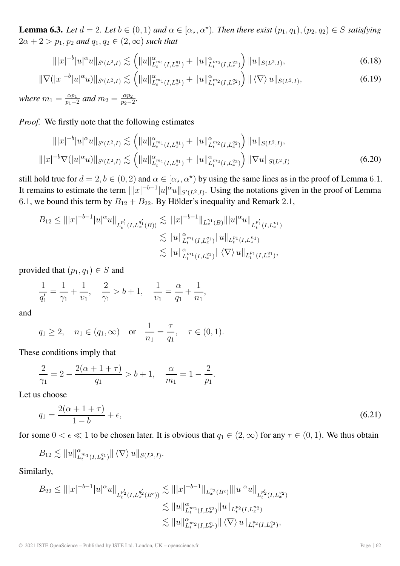**Lemma 6.3.** *Let*  $d = 2$ *. Let*  $b \in (0, 1)$  *and*  $\alpha \in [\alpha_{\star}, \alpha^{\star})$ *. Then there exist*  $(p_1, q_1), (p_2, q_2) \in S$  *satisfying*  $2\alpha + 2 > p_1, p_2 \text{ and } q_1, q_2 \in (2, \infty) \text{ such that}$ 

$$
\| |x|^{-b} |u|^{\alpha} u \|_{S'(L^2, I)} \lesssim \left( \| u \|_{L_t^{m_1}(I, L_x^{q_1})}^{\alpha} + \| u \|_{L_t^{m_2}(I, L_x^{q_2})}^{\alpha} \right) \| u \|_{S(L^2, I)}, \tag{6.18}
$$

$$
\|\nabla (|x|^{-b}|u|^\alpha u)\|_{S'(L^2,I)} \lesssim \left( \|u\|_{L_t^{m_1}(I,L_x^{q_1})}^\alpha + \|u\|_{L_t^{m_2}(I,L_x^{q_2})}^\alpha \right) \|\langle \nabla \rangle \, u\|_{S(L^2,I)},\tag{6.19}
$$

*where*  $m_1 = \frac{\alpha p_1}{p_1 - 2}$  *and*  $m_2 = \frac{\alpha p_2}{p_2 - 2}$ *.* 

*Proof.* We firstly note that the following estimates

$$
|||x|^{-b}|u|^{\alpha}u||_{S'(L^2,I)} \lesssim \left(||u||^{\alpha}_{L_t^{m_1}(I,L_x^{q_1})} + ||u||^{\alpha}_{L_t^{m_2}(I,L_x^{q_2})}\right) ||u||_{S(L^2,I)},
$$
  

$$
|||x|^{-b}\nabla (|u|^{\alpha}u)||_{S'(L^2,I)} \lesssim \left(||u||^{\alpha}_{L_t^{m_1}(I,L_x^{q_1})} + ||u||^{\alpha}_{L_t^{m_2}(I,L_x^{q_2})}\right) ||\nabla u||_{S(L^2,I)} \qquad (6.20)
$$

still hold true for  $d = 2, b \in (0, 2)$  and  $\alpha \in [\alpha_{\star}, \alpha^{\star})$  by using the same lines as in the proof of Lemma 6.1. It remains to estimate the term  $||x|^{-b-1}|u|^\alpha u||_{S'(L^2,I)}$ . Using the notations given in the proof of Lemma 6.1, we bound this term by  $B_{12} + B_{22}$ . By Hölder's inequality and Remark 2.1,

$$
B_{12} \leq |||x|^{-b-1}|u|^\alpha u||_{L_t^{p_1'}(I,L_x^{q_1'}(B))} \lesssim |||x|^{-b-1}||_{L_x^{q_1}(B)}|||u|^\alpha u||_{L_t^{p_1'}(I,L_x^{v_1})}
$$
  

$$
\lesssim ||u||_{L_t^{p_1}(I,L_x^{q_1})}^{\alpha} ||u||_{L_t^{p_1}(I,L_x^{q_1})}
$$
  

$$
\lesssim ||u||_{L_t^{p_1}(I,L_x^{q_1})}^{\alpha} ||\langle \nabla \rangle u||_{L_t^{p_1}(I,L_x^{q_1})},
$$

provided that  $(p_1, q_1) \in S$  and

$$
\frac{1}{q_1'} = \frac{1}{\gamma_1} + \frac{1}{\nu_1}, \quad \frac{2}{\gamma_1} > b + 1, \quad \frac{1}{\nu_1} = \frac{\alpha}{q_1} + \frac{1}{n_1},
$$

and

$$
q_1 \ge 2
$$
,  $n_1 \in (q_1, \infty)$  or  $\frac{1}{n_1} = \frac{\tau}{q_1}$ ,  $\tau \in (0, 1)$ .

These conditions imply that

$$
\frac{2}{\gamma_1} = 2 - \frac{2(\alpha + 1 + \tau)}{q_1} > b + 1, \quad \frac{\alpha}{m_1} = 1 - \frac{2}{p_1}.
$$

Let us choose

$$
q_1 = \frac{2(\alpha + 1 + \tau)}{1 - b} + \epsilon,\tag{6.21}
$$

for some  $0 < \epsilon \ll 1$  to be chosen later. It is obvious that  $q_1 \in (2,\infty)$  for any  $\tau \in (0,1)$ . We thus obtain

$$
B_{12} \lesssim \|u\|_{L_t^{m_1}(I,L_x^{q_1})}^{\alpha} \| \langle \nabla \rangle \, u \|_{S(L^2,I)}.
$$

Similarly,

$$
B_{22} \leq |||x|^{-b-1}|u|^{\alpha}u||_{L_t^{p_2'}(I,L_x^{q_2'}(B^c))} \lesssim |||x|^{-b-1}||_{L_x^{p_2}(B^c)}|||u|^{\alpha}u||_{L_t^{p_2'}(I,L_x^{v_2})}
$$
  

$$
\lesssim ||u||_{L_t^{m_2}(I,L_x^{q_2})}^{\alpha}||u||_{L_t^{p_2}(I,L_x^{q_2})}
$$
  

$$
\lesssim ||u||_{L_t^{m_2}(I,L_x^{q_1})}^{\alpha}||\langle \nabla \rangle u||_{L_t^{p_2}(I,L_x^{q_2})},
$$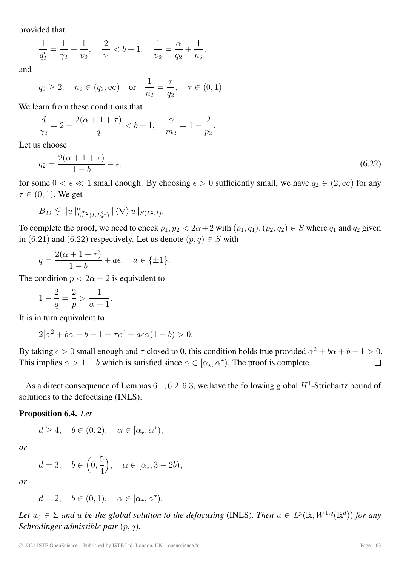provided that

$$
\frac{1}{q'_2} = \frac{1}{\gamma_2} + \frac{1}{\nu_2}, \quad \frac{2}{\gamma_1} < b + 1, \quad \frac{1}{\nu_2} = \frac{\alpha}{q_2} + \frac{1}{n_2},
$$

and

$$
q_2 \ge 2
$$
,  $n_2 \in (q_2, \infty)$  or  $\frac{1}{n_2} = \frac{\tau}{q_2}$ ,  $\tau \in (0, 1)$ .

We learn from these conditions that

$$
\frac{d}{\gamma_2} = 2 - \frac{2(\alpha + 1 + \tau)}{q} < b + 1, \quad \frac{\alpha}{m_2} = 1 - \frac{2}{p_2}.
$$

Let us choose

$$
q_2 = \frac{2(\alpha + 1 + \tau)}{1 - b} - \epsilon,\tag{6.22}
$$

for some  $0 < \epsilon \ll 1$  small enough. By choosing  $\epsilon > 0$  sufficiently small, we have  $q_2 \in (2,\infty)$  for any  $\tau \in (0, 1)$ . We get

$$
B_{22} \lesssim \|u\|_{L_t^{m_2}(I,L_x^{q_1})}^{\alpha} \| \langle \nabla \rangle \, u \|_{S(L^2,I)}.
$$

To complete the proof, we need to check  $p_1, p_2 < 2\alpha + 2$  with  $(p_1, q_1), (p_2, q_2) \in S$  where  $q_1$  and  $q_2$  given in (6.21) and (6.22) respectively. Let us denote  $(p, q) \in S$  with

$$
q = \frac{2(\alpha + 1 + \tau)}{1 - b} + a\epsilon, \quad a \in \{\pm 1\}.
$$

The condition  $p < 2\alpha + 2$  is equivalent to

$$
1 - \frac{2}{q} = \frac{2}{p} > \frac{1}{\alpha + 1}.
$$

It is in turn equivalent to

$$
2[\alpha^2 + b\alpha + b - 1 + \tau\alpha] + a\epsilon\alpha(1 - b) > 0.
$$

By taking  $\epsilon > 0$  small enough and  $\tau$  closed to 0, this condition holds true provided  $\alpha^2 + b\alpha + b - 1 > 0$ . This implies  $\alpha > 1 - b$  which is satisfied since  $\alpha \in [\alpha_{\star}, \alpha^{\star}]$ . The proof is complete.  $\Box$ 

As a direct consequence of Lemmas 6.1, 6.2, 6.3, we have the following global  $H^1$ -Strichartz bound of solutions to the defocusing (INLS).

#### **Proposition 6.4.** *Let*

 $d \geq 4, \quad b \in (0, 2), \quad \alpha \in [\alpha_\star, \alpha^\star),$ 

*or*

$$
d=3, \quad b \in \left(0, \frac{5}{4}\right), \quad \alpha \in [\alpha_{\star}, 3-2b),
$$

*or*

 $d = 2, \quad b \in (0, 1), \quad \alpha \in [\alpha_\star, \alpha^\star).$ 

*Let*  $u_0 \in \Sigma$  *and* u *be the global solution to the defocusing* (INLS)*. Then*  $u \in L^p(\mathbb{R}, W^{1,q}(\mathbb{R}^d))$  *for any Schrödinger admissible pair* (p, q)*.*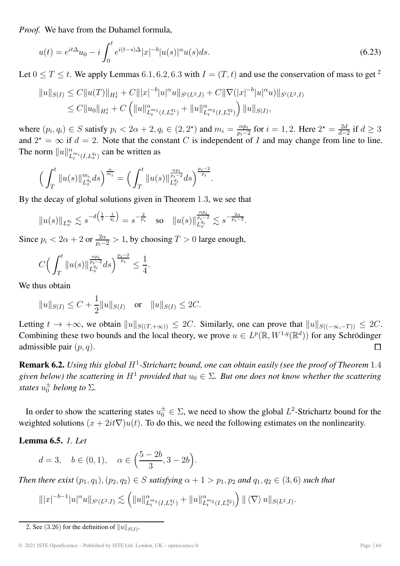*Proof.* We have from the Duhamel formula,

$$
u(t) = e^{it\Delta}u_0 - i \int_0^t e^{i(t-s)\Delta} |x|^{-b} |u(s)|^{\alpha} u(s) ds.
$$
\n(6.23)

Let  $0 \le T \le t$ . We apply Lemmas 6.1, 6.2, 6.3 with  $I = (T, t)$  and use the conservation of mass to get <sup>2</sup>

$$
||u||_{S(I)} \leq C||u(T)||_{H_x^1} + C||x|^{-b}|u|^\alpha u||_{S'(L^2,I)} + C||\nabla(|x|^{-b}|u|^\alpha u)||_{S'(L^2,I)}
$$
  
\n
$$
\leq C||u_0||_{H_x^1} + C\left(||u||_{L_t^{m_1}(I,L_x^{q_1})}^\alpha + ||u||_{L_t^{m_2}(I,L_x^{q_2})}^\alpha\right) ||u||_{S(I)},
$$

where  $(p_i, q_i) \in S$  satisfy  $p_i < 2\alpha + 2, q_i \in (2, 2^*)$  and  $m_i = \frac{\alpha p_i}{p_i - 2}$  for  $i = 1, 2$ . Here  $2^* = \frac{2d}{d-2}$  if  $d \ge 3$ and  $2^* = \infty$  if  $d = 2$ . Note that the constant C is independent of I and may change from line to line. The norm  $||u||_{L_t^{m_i}(I,L_x^{q_i})}^{\alpha}$  can be written as

$$
\left(\int_T^t \|u(s)\|_{L_x^{q_i}}^{m_i} ds\right)^{\frac{\alpha}{m_i}} = \left(\int_T^t \|u(s)\|_{L_x^{q_i}}^{\frac{\alpha p_i}{p_i - 2}} ds\right)^{\frac{p_i - 2}{p_i}}.
$$

By the decay of global solutions given in Theorem 1.3, we see that

$$
||u(s)||_{L_x^{q_i}} \lesssim s^{-d\left(\frac{1}{2} - \frac{1}{q_i}\right)} = s^{-\frac{2}{p_i}} \quad \text{so} \quad ||u(s)||_{L_x^{q_i}}^{\frac{\alpha p_i}{p_i - 2}} \lesssim s^{-\frac{2\alpha}{p_i - 2}}.
$$

Since  $p_i < 2\alpha + 2$  or  $\frac{2\alpha}{p_i - 2} > 1$ , by choosing  $T > 0$  large enough,

$$
C\Big(\int_T^t \|u(s)\|_{L_x^{q_i}}^{\frac{\alpha p_i}{p_i-2}} ds\Big)^{\frac{p_i-2}{p_i}} \le \frac{1}{4}.
$$

We thus obtain

$$
||u||_{S(I)} \leq C + \frac{1}{2}||u||_{S(I)}
$$
 or  $||u||_{S(I)} \leq 2C$ .

Letting  $t \to +\infty$ , we obtain  $||u||_{S((T,+\infty))} \le 2C$ . Similarly, one can prove that  $||u||_{S((-\infty,-T))} \le 2C$ . Combining these two bounds and the local theory, we prove  $u \in L^p(\mathbb{R}, W^{1,q}(\mathbb{R}^d))$  for any Schrödinger admissible pair  $(p, q)$ .  $\Box$ 

**Remark 6.2.** *Using this global* H<sup>1</sup>*-Strichartz bound, one can obtain easily (see the proof of Theorem* 1.4 *given below) the scattering in*  $H^1$  *provided that*  $u_0 \in \Sigma$ . But one does not know whether the scattering *states*  $u_0^{\pm}$  *belong to*  $\Sigma$ *.* 

In order to show the scattering states  $u_0^{\pm} \in \Sigma$ , we need to show the global  $L^2$ -Strichartz bound for the weighted solutions  $(x + 2it\nabla)u(t)$ . To do this, we need the following estimates on the nonlinearity.

#### **Lemma 6.5.** *1. Let*

$$
d = 3, \quad b \in (0, 1), \quad \alpha \in \left(\frac{5 - 2b}{3}, 3 - 2b\right).
$$

*Then there exist*  $(p_1, q_1), (p_2, q_2) \in S$  *satisfying*  $\alpha + 1 > p_1, p_2$  *and*  $q_1, q_2 \in (3, 6)$  *such that* 

$$
\| |x|^{-b-1} |u|^\alpha u \|_{S'(L^2, I)} \lesssim \left( \| u \|_{L_t^{m_1}(I, L_x^{q_1})}^\alpha + \| u \|_{L_t^{m_2}(I, L_x^{q_2})}^\alpha \right) \| \langle \nabla \rangle \, u \|_{S(L^2, I)}.
$$

<sup>2.</sup> See (3.26) for the definition of  $||u||_{S(I)}$ .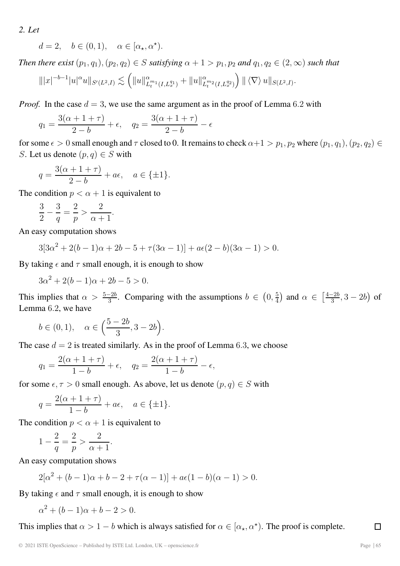*2. Let*

$$
d = 2, \quad b \in (0, 1), \quad \alpha \in [\alpha_\star, \alpha^\star).
$$

*Then there exist*  $(p_1, q_1), (p_2, q_2) \in S$  *satisfying*  $\alpha + 1 > p_1, p_2$  *and*  $q_1, q_2 \in (2, \infty)$  *such that* 

$$
\| |x|^{-b-1} |u|^\alpha u \|_{S'(L^2, I)} \lesssim \left( \| u \|_{L_t^{m_1}(I,L_x^{q_1})}^\alpha + \| u \|_{L_t^{m_2}(I,L_x^{q_2})}^\alpha \right) \| \langle \nabla \rangle \, u \|_{S(L^2,I)}.
$$

*Proof.* In the case  $d = 3$ , we use the same argument as in the proof of Lemma 6.2 with

$$
q_1 = \frac{3(\alpha + 1 + \tau)}{2 - b} + \epsilon
$$
,  $q_2 = \frac{3(\alpha + 1 + \tau)}{2 - b} - \epsilon$ 

for some  $\epsilon > 0$  small enough and  $\tau$  closed to 0. It remains to check  $\alpha+1 > p_1, p_2$  where  $(p_1, q_1), (p_2, q_2) \in$ S. Let us denote  $(p, q) \in S$  with

$$
q = \frac{3(\alpha + 1 + \tau)}{2 - b} + a\epsilon, \quad a \in \{\pm 1\}.
$$

The condition  $p < \alpha + 1$  is equivalent to

$$
\frac{3}{2} - \frac{3}{q} = \frac{2}{p} > \frac{2}{\alpha + 1}.
$$

An easy computation shows

$$
3[3\alpha^2 + 2(b-1)\alpha + 2b - 5 + \tau(3\alpha - 1)] + a\epsilon(2 - b)(3\alpha - 1) > 0.
$$

By taking  $\epsilon$  and  $\tau$  small enough, it is enough to show

 $3\alpha^{2} + 2(b-1)\alpha + 2b - 5 > 0.$ 

This implies that  $\alpha > \frac{5-2b}{3}$ . Comparing with the assumptions  $b \in (0, \frac{5}{4})$  and  $\alpha \in (\frac{4-2b}{3}, 3-2b)$  of Lemma 6.2, we have

$$
b \in (0, 1), \quad \alpha \in \left(\frac{5-2b}{3}, 3-2b\right).
$$

The case  $d = 2$  is treated similarly. As in the proof of Lemma 6.3, we choose

$$
q_1 = \frac{2(\alpha + 1 + \tau)}{1 - b} + \epsilon
$$
,  $q_2 = \frac{2(\alpha + 1 + \tau)}{1 - b} - \epsilon$ ,

for some  $\epsilon, \tau > 0$  small enough. As above, let us denote  $(p, q) \in S$  with

$$
q = \frac{2(\alpha + 1 + \tau)}{1 - b} + a\epsilon, \quad a \in \{\pm 1\}.
$$

The condition  $p < \alpha + 1$  is equivalent to

$$
1 - \frac{2}{q} = \frac{2}{p} > \frac{2}{\alpha + 1}.
$$

An easy computation shows

$$
2[\alpha^2 + (b-1)\alpha + b - 2 + \tau(\alpha - 1)] + a\epsilon(1-b)(\alpha - 1) > 0.
$$

By taking  $\epsilon$  and  $\tau$  small enough, it is enough to show

 $\alpha^{2} + (b-1)\alpha + b - 2 > 0.$ 

This implies that  $\alpha > 1 - b$  which is always satisfied for  $\alpha \in [\alpha_{\star}, \alpha^{\star}]$ . The proof is complete.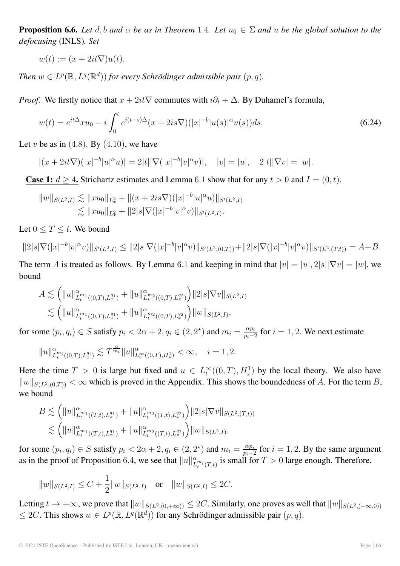**Proposition 6.6.** *Let* d, b and  $\alpha$  *be as in Theorem* 1.4*. Let*  $u_0 \in \Sigma$  *and*  $u$  *be the global solution to the defocusing* (INLS)*. Set*

$$
w(t) := (x + 2it\nabla)u(t).
$$

*Then*  $w \in L^p(\mathbb{R}, L^q(\mathbb{R}^d))$  *for every Schrödinger admissible pair*  $(p, q)$ *.* 

*Proof.* We firstly notice that  $x + 2it\nabla$  commutes with  $i\partial_t + \Delta$ . By Duhamel's formula,

$$
w(t) = e^{it\Delta} x u_0 - i \int_0^t e^{i(t-s)\Delta} (x + 2is\nabla) (|x|^{-b}|u(s)|^{\alpha} u(s)) ds.
$$
 (6.24)

Let v be as in  $(4.8)$ . By  $(4.10)$ , we have

$$
|(x+2it\nabla)(|x|^{-b}|u|^\alpha u)| = 2|t||\nabla(|x|^{-b}|v|^\alpha v)|, \quad |v| = |u|, \quad 2|t||\nabla v| = |w|.
$$

**Case 1:**  $d \geq 4$ . Strichartz estimates and Lemma 6.1 show that for any  $t > 0$  and  $I = (0, t)$ ,

$$
||w||_{S(L^2,I)} \lesssim ||xu_0||_{L^2_x} + ||(x+2is\nabla)(|x|^{-b}|u|^\alpha u)||_{S'(L^2,I)}\lesssim ||xu_0||_{L^2_x} + ||2|s|\nabla(|x|^{-b}|v|^\alpha v)||_{S'(L^2,I)}.
$$

Let  $0 \leq T \leq t$ . We bound

$$
||2|s|\nabla (|x|^{-b}|v|^{\alpha}v)||_{S'(L^2,I)} \leq ||2|s|\nabla (|x|^{-b}|v|^{\alpha}v)||_{S'(L^2,(0,T))} + ||2|s|\nabla (|x|^{-b}|v|^{\alpha}v)||_{S'(L^2,(T,t))} = A+B.
$$

The term A is treated as follows. By Lemma 6.1 and keeping in mind that  $|v| = |u|, 2|s||\nabla v| = |w|$ , we bound

$$
A \lesssim (||u||_{L_t^{m_1}((0,T),L_x^{q_1})}^{\alpha} + ||u||_{L_t^{m_2}((0,T),L_x^{q_2})}^{\alpha}) ||2|s|\nabla v||_{S(L^2,I)}
$$
  

$$
\lesssim (||u||_{L_t^{m_1}((0,T),L_x^{q_1})}^{\alpha} + ||u||_{L_t^{m_2}((0,T),L_x^{q_2})}^{\alpha}) ||w||_{S(L^2,I)},
$$

for some  $(p_i, q_i) \in S$  satisfy  $p_i < 2\alpha + 2, q_i \in (2, 2^*)$  and  $m_i = \frac{\alpha p_i}{p_i - 2}$  for  $i = 1, 2$ . We next estimate

$$
||u||_{L_t^{m_i}((0,T),L_x^{q_i})}^{\alpha} \lesssim T^{\frac{\alpha}{m_i}} ||u||_{L_t^{\infty}((0,T),H_x^1)}^{\alpha} < \infty, \quad i = 1,2.
$$

Here the time  $T > 0$  is large but fixed and  $u \in L_t^{\infty}((0,T), H_x^1)$  by the local theory. We also have  $||w||_{S(L^2,(0,T))} < \infty$  which is proved in the Appendix. This shows the boundedness of A. For the term B, we bound

$$
B \lesssim \left( \|u\|_{L_t^{m_1}((T,t),L_x^{q_1})}^{\alpha} + \|u\|_{L_t^{m_2}((T,t),L_x^{q_2})}^{\alpha} \right) \|2|s|\nabla v\|_{S(L^2,(T,t))}
$$
  

$$
\lesssim \left( \|u\|_{L_t^{m_1}((T,t),L_x^{q_1})}^{\alpha} + \|u\|_{L_t^{m_2}((T,t),L_x^{q_2})}^{\alpha} \right) \|w\|_{S(L^2,I)},
$$

for some  $(p_i, q_i) \in S$  satisfy  $p_i < 2\alpha + 2$ ,  $q_i \in (2, 2^*)$  and  $m_i = \frac{\alpha p_i}{p_i - 2}$  for  $i = 1, 2$ . By the same argument as in the proof of Proposition 6.4, we see that  $||u||_{L_t^{m_i}(T,t)}^{\alpha}$  is small for  $T > 0$  large enough. Therefore,

$$
||w||_{S(L^2,I)} \leq C + \frac{1}{2}||w||_{S(L^2,I)}
$$
 or  $||w||_{S(L^2,I)} \leq 2C$ .

Letting  $t \to +\infty$ , we prove that  $||w||_{S(L^2,(0,+\infty))} \le 2C$ . Similarly, one proves as well that  $||w||_{S(L^2,(-\infty,0))}$  $\leq 2C$ . This shows  $w \in L^p(\mathbb{R}, L^q(\mathbb{R}^d))$  for any Schrödinger admissible pair  $(p, q)$ .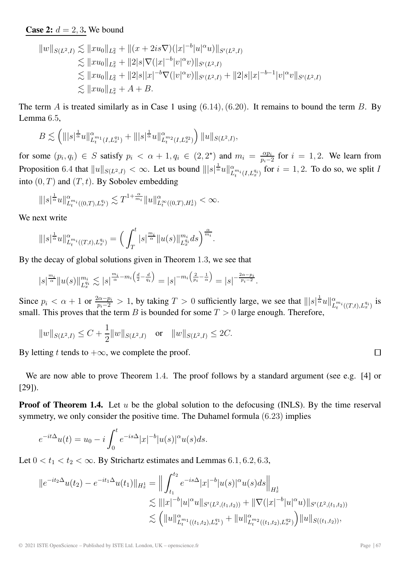# **Case 2:**  $d = 2, 3$ **.** We bound

$$
||w||_{S(L^{2},I)} \lesssim ||xu_{0}||_{L_{x}^{2}} + ||(x+2is\nabla)(|x|^{-b}|u|^{\alpha}u)||_{S'(L^{2},I)}
$$
  
\n
$$
\lesssim ||xu_{0}||_{L_{x}^{2}} + ||2|s|\nabla(|x|^{-b}|v|^{\alpha}v)||_{S'(L^{2},I)}
$$
  
\n
$$
\lesssim ||xu_{0}||_{L_{x}^{2}} + ||2|s||x|^{-b}\nabla(|v|^{\alpha}v)||_{S'(L^{2},I)} + ||2|s||x|^{-b-1}|v|^{\alpha}v||_{S'(L^{2},I)}
$$
  
\n
$$
\lesssim ||xu_{0}||_{L_{x}^{2}} + A + B.
$$

The term A is treated similarly as in Case 1 using  $(6.14)$ ,  $(6.20)$ . It remains to bound the term B. By Lemma 6.5,

$$
B \lesssim \left( \||s|^{\frac{1}{\alpha}} u\|_{L_t^{m_1}(I,L_x^{q_1})}^{\alpha} + \||s|^{\frac{1}{\alpha}} u\|_{L_t^{m_2}(I,L_x^{q_2})}^{\alpha} \right) \|u\|_{S(L^2,I)},
$$

for some  $(p_i, q_i) \in S$  satisfy  $p_i < \alpha + 1, q_i \in (2, 2^*)$  and  $m_i = \frac{\alpha p_i}{p_i - 2}$  for  $i = 1, 2$ . We learn from Proposition 6.4 that  $||u||_{S(L^2,I)} < \infty$ . Let us bound  $|||s|^{\frac{1}{\alpha}}u||_{L_t^{m_i}(I,L_x^{q_i})}^{\alpha}$  for  $i=1,2$ . To do so, we split I into  $(0, T)$  and  $(T, t)$ . By Sobolev embedding

$$
\||s|^{\frac{1}{\alpha}}u\|^{\alpha}_{L_t^{m_i}((0,T),L_x^{q_i})}\lesssim T^{1+\frac{\alpha}{m_i}}\|u\|^{\alpha}_{L_t^{\infty}((0,T),H_x^{1})}<\infty.
$$

We next write

$$
\||s|^{\frac{1}{\alpha}}u\|^{\alpha}_{L_t^{m_i}((T,t),L_x^{q_i})}=\Big(\int_T^t|s|^{\frac{m_i}{\alpha}}\|u(s)\|_{L_x^{q_i}}^{m_i}ds\Big)^{\frac{\alpha}{m_i}}.
$$

By the decay of global solutions given in Theorem 1.3, we see that

$$
|s|^{\frac{m_i}{\alpha}}\|u(s)\|_{L_x^{q_i}}^{m_i} \lesssim |s|^{\frac{m_i}{\alpha}-m_i\left(\frac{d}{2}-\frac{d}{q_i}\right)} = |s|^{-m_i\left(\frac{2}{p_i}-\frac{1}{\alpha}\right)} = |s|^{-\frac{2\alpha-p_i}{p_i-2}}.
$$

Since  $p_i < \alpha + 1$  or  $\frac{2\alpha - p_i}{p_i - 2} > 1$ , by taking  $T > 0$  sufficiently large, we see that  $|||s|^{\frac{1}{\alpha}}u||_{L_t^{m_i}((T,t),L_x^{q_i})}^{\alpha}$  is small. This proves that the term B is bounded for some  $T > 0$  large enough. Therefore,

$$
||w||_{S(L^2,I)} \leq C + \frac{1}{2}||w||_{S(L^2,I)}
$$
 or  $||w||_{S(L^2,I)} \leq 2C$ .

By letting t tends to  $+\infty$ , we complete the proof.

We are now able to prove Theorem 1.4. The proof follows by a standard argument (see e.g. [4] or [29]).

**Proof of Theorem 1.4.** Let u be the global solution to the defocusing (INLS). By the time reserval symmetry, we only consider the positive time. The Duhamel formula (6.23) implies

$$
e^{-it\Delta}u(t) = u_0 - i \int_0^t e^{-is\Delta} |x|^{-b} |u(s)|^{\alpha} u(s) ds.
$$

Let  $0 < t_1 < t_2 < \infty$ . By Strichartz estimates and Lemmas 6.1, 6.2, 6.3,

$$
||e^{-it_2\Delta}u(t_2) - e^{-it_1\Delta}u(t_1)||_{H_x^1} = \Big\|\int_{t_1}^{t_2} e^{-is\Delta} |x|^{-b} |u(s)|^{\alpha} u(s) ds \Big\|_{H_x^1}
$$
  
\n
$$
\lesssim |||x|^{-b} |u|^{\alpha} u||_{S'(L^2,(t_1,t_2))} + ||\nabla (|x|^{-b} |u|^{\alpha} u)||_{S'(L^2,(t_1,t_2))}
$$
  
\n
$$
\lesssim (||u||_{L_t^{m_1}((t_1,t_2),L_x^{q_1})}^{\alpha} + ||u||_{L_t^{m_2}((t_1,t_2),L_x^{q_2})}^{\alpha}) ||u||_{S((t_1,t_2))},
$$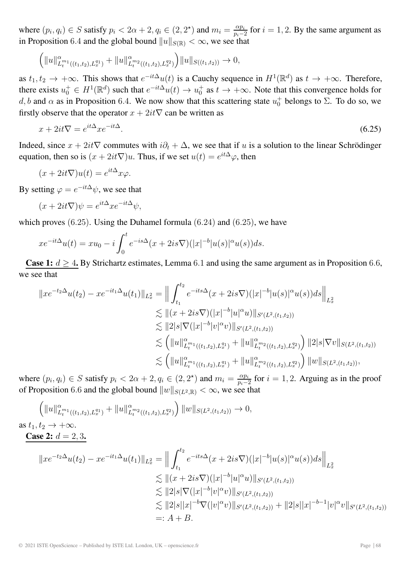where  $(p_i, q_i) \in S$  satisfy  $p_i < 2\alpha + 2, q_i \in (2, 2^*)$  and  $m_i = \frac{\alpha p_i}{p_i - 2}$  for  $i = 1, 2$ . By the same argument as in Proposition 6.4 and the global bound  $||u||_{S(\mathbb{R})} < \infty$ , we see that

$$
\left( \|u\|_{L_t^{m_1}((t_1,t_2),L_x^{q_1})}^{\alpha} + \|u\|_{L_t^{m_2}((t_1,t_2),L_x^{q_2})}^{\alpha} \right) \|u\|_{S((t_1,t_2))} \to 0,
$$

as  $t_1, t_2 \to +\infty$ . This shows that  $e^{-it\Delta}u(t)$  is a Cauchy sequence in  $H^1(\mathbb{R}^d)$  as  $t \to +\infty$ . Therefore, there exists  $u_0^+ \in H^1(\mathbb{R}^d)$  such that  $e^{-it\Delta}u(t) \to u_0^+$  as  $t \to +\infty$ . Note that this convergence holds for d, b and  $\alpha$  as in Proposition 6.4. We now show that this scattering state  $u_0^+$  belongs to  $\Sigma$ . To do so, we firstly observe that the operator  $x + 2it\nabla$  can be written as

$$
x + 2it\nabla = e^{it\Delta} x e^{-it\Delta}.\tag{6.25}
$$

Indeed, since  $x + 2it\nabla$  commutes with  $i\partial_t + \Delta$ , we see that if u is a solution to the linear Schrödinger equation, then so is  $(x + 2it\nabla)u$ . Thus, if we set  $u(t) = e^{it\Delta}\varphi$ , then

$$
(x + 2it\nabla)u(t) = e^{it\Delta}x\varphi.
$$

By setting  $\varphi = e^{-it\Delta}\psi$ , we see that

$$
(x + 2it\nabla)\psi = e^{it\Delta}xe^{-it\Delta}\psi,
$$

which proves  $(6.25)$ . Using the Duhamel formula  $(6.24)$  and  $(6.25)$ , we have

$$
xe^{-it\Delta}u(t) = xu_0 - i\int_0^t e^{-is\Delta}(x+2is\nabla)(|x|^{-b}|u(s)|^{\alpha}u(s))ds.
$$

**Case 1:**  $d \geq 4$ . By Strichartz estimates, Lemma 6.1 and using the same argument as in Proposition 6.6, we see that

$$
\|xe^{-t_2\Delta}u(t_2) - xe^{-it_1\Delta}u(t_1)\|_{L_x^2} = \Big\|\int_{t_1}^{t_2} e^{-its\Delta}(x+2is\nabla)(|x|^{-b}|u(s)|^{\alpha}u(s))ds\Big\|_{L_x^2}
$$
  
\n
$$
\lesssim \|(x+2is\nabla)(|x|^{-b}|u|^{\alpha}u)\|_{S'(L^2,(t_1,t_2))}
$$
  
\n
$$
\lesssim \|2|s|\nabla(|x|^{-b}|v|^{\alpha}v)\|_{S'(L^2,(t_1,t_2))}
$$
  
\n
$$
\lesssim (||u||_{L_t^{m_1}((t_1,t_2),L_x^{q_1})}^{\alpha} + ||u||_{L_t^{m_2}((t_1,t_2),L_x^{q_2})}^{\alpha}) ||2|s|\nabla v||_{S(L^2,(t_1,t_2))}
$$
  
\n
$$
\lesssim (||u||_{L_t^{m_1}((t_1,t_2),L_x^{q_1})}^{\alpha} + ||u||_{L_t^{m_2}((t_1,t_2),L_x^{q_2})}^{\alpha}) ||w||_{S(L^2,(t_1,t_2))},
$$

where  $(p_i, q_i) \in S$  satisfy  $p_i < 2\alpha + 2, q_i \in (2, 2^*)$  and  $m_i = \frac{\alpha p_i}{p_i - 2}$  for  $i = 1, 2$ . Arguing as in the proof of Proposition 6.6 and the global bound  $||w||_{S(L^2,\mathbb{R})} < \infty$ , we see that

$$
\left(\|u\|_{L_t^{m_1}((t_1,t_2),L_x^{q_1})}^{\alpha} + \|u\|_{L_t^{m_2}((t_1,t_2),L_x^{q_2})}^{\alpha}\right) \|w\|_{S(L^2,(t_1,t_2))} \to 0,
$$
\n
$$
\text{as } t_1, t_2 \to +\infty.
$$
\n
$$
\text{Case 2: } d = 2, 3.
$$
\n
$$
\|xe^{-t_2\Delta}u(t_2) - xe^{-it_1\Delta}u(t_1)\|_{L_x^{2}} = \left\|\int_{t_1}^{t_2} e^{-its\Delta}(x+2is\nabla)(|x|^{-b}|u(s)|^{\alpha}u(s))ds\right\|_{L_x^{2}}
$$
\n
$$
\lesssim \|(x+2is\nabla)(|x|^{-b}|u|^{\alpha}u)\|_{S'(L^2,(t_1,t_2))}
$$
\n
$$
\lesssim \|2|s|\nabla(|x|^{-b}|v|^{\alpha}v)\|_{S'(L^2,(t_1,t_2))}
$$
\n
$$
\lesssim \|2|s||x|^{-b}\nabla(|v|^{\alpha}v)\|_{S'(L^2,(t_1,t_2))} + \|2|s||x|^{-b-1}|v|^{\alpha}v\|_{S'(L^2,(t_1,t_2))}
$$
\n
$$
=: A + B.
$$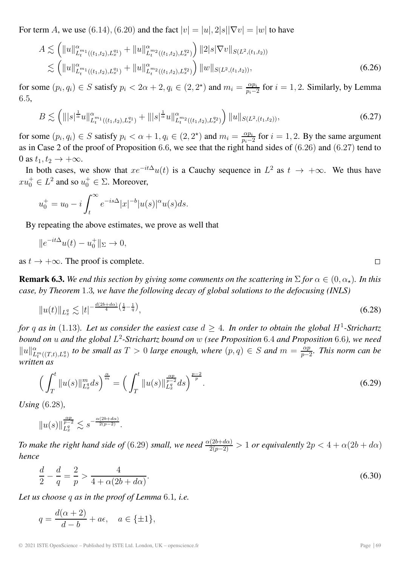For term A, we use (6.14), (6.20) and the fact  $|v| = |u|, 2|s||\nabla v| = |w|$  to have

$$
A \lesssim \left( \|u\|_{L_t^{m_1}((t_1,t_2),L_x^{q_1})}^{\alpha} + \|u\|_{L_t^{m_2}((t_1,t_2),L_x^{q_2})}^{\alpha} \right) \|2|s|\nabla v\|_{S(L^2,(t_1,t_2))}
$$
  

$$
\lesssim \left( \|u\|_{L_t^{m_1}((t_1,t_2),L_x^{q_1})}^{\alpha} + \|u\|_{L_t^{m_2}((t_1,t_2),L_x^{q_2})}^{\alpha} \right) \|w\|_{S(L^2,(t_1,t_2))},
$$
\n(6.26)

for some  $(p_i, q_i) \in S$  satisfy  $p_i < 2\alpha + 2, q_i \in (2, 2^*)$  and  $m_i = \frac{\alpha p_i}{p_i - 2}$  for  $i = 1, 2$ . Similarly, by Lemma 6.5,

$$
B \lesssim \left( \| |s|^{\frac{1}{\alpha}} u \|_{L_t^{m_1}((t_1, t_2), L_x^{q_1})}^{\alpha} + \| |s|^{\frac{1}{\alpha}} u \|_{L_t^{m_2}((t_1, t_2), L_x^{q_2})}^{\alpha} \right) \| u \|_{S(L^2, (t_1, t_2))}, \tag{6.27}
$$

for some  $(p_i, q_i) \in S$  satisfy  $p_i < \alpha + 1, q_i \in (2, 2^*)$  and  $m_i = \frac{\alpha p_i}{p_i - 2}$  for  $i = 1, 2$ . By the same argument as in Case 2 of the proof of Proposition 6.6, we see that the right hand sides of (6.26) and (6.27) tend to 0 as  $t_1, t_2 \rightarrow +\infty$ .

In both cases, we show that  $xe^{-it\Delta}u(t)$  is a Cauchy sequence in  $L^2$  as  $t \to +\infty$ . We thus have  $x u_0^+ \in L^2$  and so  $u_0^+ \in \Sigma$ . Moreover,

$$
u_0^+ = u_0 - i \int_t^\infty e^{-is\Delta} |x|^{-b} |u(s)|^\alpha u(s) ds.
$$

By repeating the above estimates, we prove as well that

$$
||e^{-it\Delta}u(t) - u_0^+||_{\Sigma} \to 0,
$$

as  $t \to +\infty$ . The proof is complete.

**Remark 6.3.** We end this section by giving some comments on the scattering in  $\Sigma$  for  $\alpha \in (0, \alpha_{\star})$ . In this *case, by Theorem* 1.3*, we have the following decay of global solutions to the defocusing (INLS)*

$$
||u(t)||_{L_x^q} \lesssim |t|^{-\frac{d(2b+d\alpha)}{4}\left(\frac{1}{2} - \frac{1}{q}\right)},\tag{6.28}
$$

*for* q as in (1.13). Let us consider the easiest case  $d > 4$ . In order to obtain the global H<sup>1</sup>-Strichartz *bound on* u *and the global* L<sup>2</sup>*-Strichartz bound on* w *(see Proposition* 6.4 *and Proposition* 6.6*), we need*  $||u||_{L_t^m((T,t),L_x^q)}$  *to be small as*  $T > 0$  *large enough, where*  $(p,q) \in S$  *and*  $m = \frac{\alpha p}{p-2}$ *. This norm can be written as*

$$
\left(\int_{T}^{t} \|u(s)\|_{L_{x}^{q}}^{m} ds\right)^{\frac{\alpha}{m}} = \left(\int_{T}^{t} \|u(s)\|_{L_{x}^{q}}^{\frac{\alpha p}{p-2}} ds\right)^{\frac{p-2}{p}}.
$$
\n(6.29)

*Using* (6.28)*,*

$$
\|u(s)\|_{L_x^q}^{\frac{\alpha p}{p-2}}\lesssim s^{-\frac{\alpha(2b+d\alpha)}{2(p-2)}}.
$$

*To make the right hand side of* (6.29) *small, we need*  $\frac{\alpha(2b+d\alpha)}{2(p-2)} > 1$  *or equivalently*  $2p < 4 + \alpha(2b+d\alpha)$ *hence*

$$
\frac{d}{2} - \frac{d}{q} = \frac{2}{p} > \frac{4}{4 + \alpha(2b + d\alpha)}.
$$
\n(6.30)

*Let us choose* q *as in the proof of Lemma* 6.1*, i.e.*

$$
q = \frac{d(\alpha + 2)}{d - b} + a\epsilon, \quad a \in \{\pm 1\},\
$$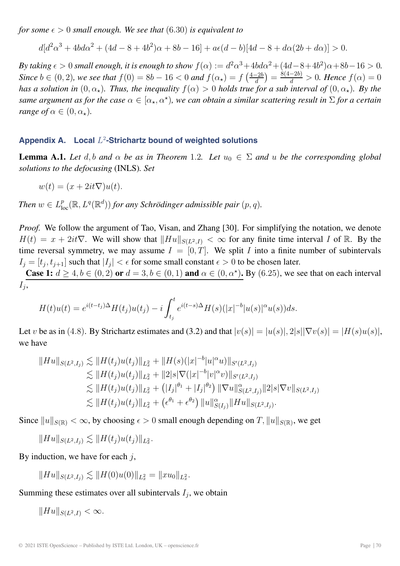*for some*  $\epsilon > 0$  *small enough. We see that* (6.30) *is equivalent to* 

$$
d[d^{2}\alpha^{3} + 4bd\alpha^{2} + (4d - 8 + 4b^{2})\alpha + 8b - 16] + a\epsilon(d - b)[4d - 8 + d\alpha(2b + d\alpha)] > 0.
$$

*By taking*  $\epsilon > 0$  *small enough, it is enough to show*  $f(\alpha) := d^2 \alpha^3 + 4b d \alpha^2 + (4d - 8 + 4b^2) \alpha + 8b - 16 > 0$ . *Since*  $b \in (0, 2)$ *, we see that*  $f(0) = 8b - 16 < 0$  and  $f(\alpha_*) = f\left(\frac{4-2b}{d}\right) = \frac{8(4-2b)}{d} > 0$ *. Hence*  $f(\alpha) = 0$ *has a solution in*  $(0, \alpha_{\star})$ *. Thus, the inequality*  $f(\alpha) > 0$  *holds true for a sub interval of*  $(0, \alpha_{\star})$ *. By the same argument as for the case*  $\alpha \in [\alpha_{\star}, \alpha^{\star})$ , we can obtain a similar scattering result in  $\Sigma$  for a certain *range of*  $\alpha \in (0, \alpha_\star)$ .

## Appendix A. Local  $L^2$ -Strichartz bound of weighted solutions

**Lemma A.1.** Let d, b and  $\alpha$  be as in Theorem 1.2. Let  $u_0 \in \Sigma$  and u be the corresponding global *solutions to the defocusing* (INLS)*. Set*

$$
w(t) = (x + 2it\nabla)u(t).
$$

*Then*  $w \in L^p_{loc}(\mathbb{R}, L^q(\mathbb{R}^d))$  *for any Schrödinger admissible pair*  $(p, q)$ *.* 

*Proof.* We follow the argument of Tao, Visan, and Zhang [30]. For simplifying the notation, we denote  $H(t) = x + 2it\nabla$ . We will show that  $\|Hu\|_{S(L^2,I)} < \infty$  for any finite time interval I of R. By the time reversal symmetry, we may assume  $I = [0, T]$ . We split I into a finite number of subintervals  $I_i = [t_i, t_{i+1}]$  such that  $|I_i| < \epsilon$  for some small constant  $\epsilon > 0$  to be chosen later.

**Case 1:**  $d \geq 4, b \in (0, 2)$  or  $d = 3, b \in (0, 1)$  and  $\alpha \in (0, \alpha^*)$ . By (6.25), we see that on each interval  $I_i$ ,

$$
H(t)u(t) = e^{i(t-t_j)\Delta}H(t_j)u(t_j) - i \int_{t_j}^t e^{i(t-s)\Delta}H(s)(|x|^{-b}|u(s)|^{\alpha}u(s))ds.
$$

Let v be as in (4.8). By Strichartz estimates and (3.2) and that  $|v(s)| = |u(s)|$ ,  $2|s||\nabla v(s)| = |H(s)u(s)|$ , we have

$$
||Hu||_{S(L^2,I_j)} \lesssim ||H(t_j)u(t_j)||_{L_x^2} + ||H(s)(|x|^{-b}|u|^\alpha u)||_{S'(L^2,I_j)}
$$
  
\n
$$
\lesssim ||H(t_j)u(t_j)||_{L_x^2} + ||2|s|\nabla (|x|^{-b}|v|^\alpha v)||_{S'(L^2,I_j)}
$$
  
\n
$$
\lesssim ||H(t_j)u(t_j)||_{L_x^2} + (|I_j|^{\theta_1} + |I_j|^{\theta_2}) ||\nabla u||_{S(L^2,I_j)}^{\alpha} ||2|s|\nabla v||_{S(L^2,I_j)}
$$
  
\n
$$
\lesssim ||H(t_j)u(t_j)||_{L_x^2} + (\epsilon^{\theta_1} + \epsilon^{\theta_2}) ||u||_{S(I_j)}^{\alpha} ||Hu||_{S(L^2,I_j)}.
$$

Since  $||u||_{S(\mathbb{R})} < \infty$ , by choosing  $\epsilon > 0$  small enough depending on T,  $||u||_{S(\mathbb{R})}$ , we get

$$
||Hu||_{S(L^2,I_j)} \lesssim ||H(t_j)u(t_j)||_{L^2_x}.
$$

By induction, we have for each  $j$ ,

$$
||Hu||_{S(L^2,I_j)} \lesssim ||H(0)u(0)||_{L^2_x} = ||xu_0||_{L^2_x}.
$$

Summing these estimates over all subintervals  $I_i$ , we obtain

 $||Hu||_{S(L^2 I)} < \infty.$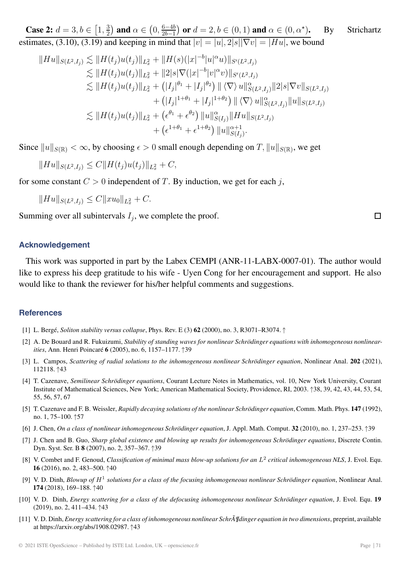**Case 2:**  $d = 3, b \in [1, \frac{3}{2})$  and  $\alpha \in (0, \frac{6-4b}{2b-1})$  $\phi$  or  $d = 2, b \in (0, 1)$  and  $\alpha \in (0, \alpha^*)$ . By Strichartz estimates, (3.10), (3.19) and keeping in mind that  $|v| = |u|, 2|s||\nabla v| = |Hu|$ , we bound

$$
||Hu||_{S(L^2,I_j)} \lesssim ||H(t_j)u(t_j)||_{L_x^2} + ||H(s)(|x|^{-b}|u|^\alpha u)||_{S'(L^2,I_j)}
$$
  
\n
$$
\lesssim ||H(t_j)u(t_j)||_{L_x^2} + ||2|s|\nabla (|x|^{-b}|v|^\alpha v)||_{S'(L^2,I_j)}
$$
  
\n
$$
\lesssim ||H(t_j)u(t_j)||_{L_x^2} + (|I_j|^{\theta_1} + |I_j|^{\theta_2}) ||\langle \nabla \rangle u||_{S(L^2,I_j)}^\alpha ||2|s|\nabla v||_{S(L^2,I_j)}
$$
  
\n
$$
+ (|I_j|^{1+\theta_1} + |I_j|^{1+\theta_2}) ||\langle \nabla \rangle u||_{S(L^2,I_j)}^\alpha ||u||_{S(L^2,I_j)}
$$
  
\n
$$
\lesssim ||H(t_j)u(t_j)||_{L_x^2} + (\epsilon^{\theta_1} + \epsilon^{\theta_2}) ||u||_{S(I_j)}^\alpha ||Hu||_{S(L^2,I_j)}
$$
  
\n
$$
+ (\epsilon^{1+\theta_1} + \epsilon^{1+\theta_2}) ||u||_{S(I_j)}^{\alpha+1}.
$$

Since  $||u||_{S(\mathbb{R})} < \infty$ , by choosing  $\epsilon > 0$  small enough depending on T,  $||u||_{S(\mathbb{R})}$ , we get

$$
||Hu||_{S(L^2,I_j)} \leq C||H(t_j)u(t_j)||_{L^2_x} + C,
$$

for some constant  $C > 0$  independent of T. By induction, we get for each j,

$$
||Hu||_{S(L^2,I_j)} \leq C||xu_0||_{L^2_x} + C.
$$

Summing over all subintervals  $I_i$ , we complete the proof.

#### **Acknowledgement**

This work was supported in part by the Labex CEMPI (ANR-11-LABX-0007-01). The author would like to express his deep gratitude to his wife - Uyen Cong for her encouragement and support. He also would like to thank the reviewer for his/her helpful comments and suggestions.

#### **References**

- [1] L. Bergé, *Soliton stability versus collapse*, Phys. Rev. E (3) **62** (2000), no. 3, R3071–R3074. ↑
- [2] A. De Bouard and R. Fukuizumi, *Stability of standing waves for nonlinear Schrödinger equations with inhomogeneous nonlinearities*, Ann. Henri Poincaré **6** (2005), no. 6, 1157–1177. ↑39
- [3] L. Campos, *Scattering of radial solutions to the inhomogeneous nonlinear Schrödinger equation*, Nonlinear Anal. **202** (2021), 112118. ↑43
- [4] T. Cazenave, *Semilinear Schrödinger equations*, Courant Lecture Notes in Mathematics, vol. 10, New York University, Courant Institute of Mathematical Sciences, New York; American Mathematical Society, Providence, RI, 2003. ↑38, 39, 42, 43, 44, 53, 54, 55, 56, 57, 67
- [5] T. Cazenave and F. B. Weissler, *Rapidly decaying solutions of the nonlinear Schrödinger equation*, Comm. Math. Phys. **147** (1992), no. 1, 75–100. ↑57
- [6] J. Chen, *On a class of nonlinear inhomogeneous Schrödinger equation*, J. Appl. Math. Comput. **32** (2010), no. 1, 237–253. ↑39
- [7] J. Chen and B. Guo, *Sharp global existence and blowing up results for inhomogeneous Schrödinger equations*, Discrete Contin. Dyn. Syst. Ser. B **8** (2007), no. 2, 357–367. ↑39
- [8] V. Combet and F. Genoud, *Classification of minimal mass blow-up solutions for an* L<sup>2</sup> *critical inhomogeneous NLS*, J. Evol. Equ. **16** (2016), no. 2, 483–500. ↑40
- [9] V. D. Dinh, *Blowup of* H<sup>1</sup> *solutions for a class of the focusing inhomogeneous nonlinear Schrödinger equation*, Nonlinear Anal. **174** (2018), 169–188. ↑40
- [10] V. D. Dinh, *Energy scattering for a class of the defocusing inhomogeneous nonlinear Schrödinger equation*, J. Evol. Equ. **19** (2019), no. 2, 411–434. ↑43
- [11] V. D. Dinh, *Energy scattering for a class of inhomogeneous nonlinear Schrödinger equation in two dimensions*, preprint, available at https://arxiv.org/abs/1908.02987. ↑43